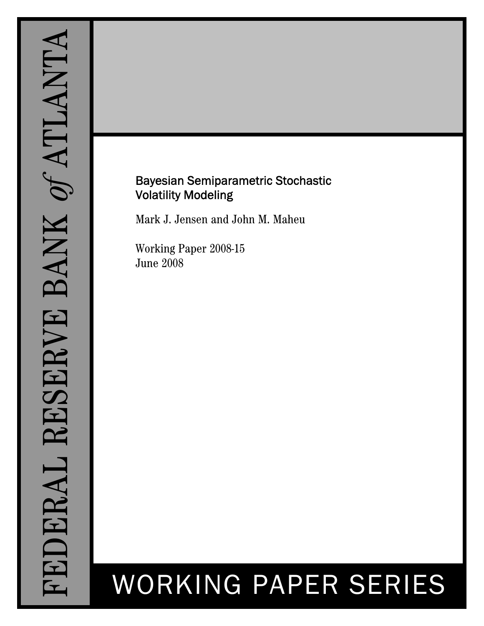# Bayesian Semiparametric Stochastic Volatility Modeling

Mark J. Jensen and John M. Maheu

Working Paper 2008-15 June 2008

# WORKING PAPER SERIES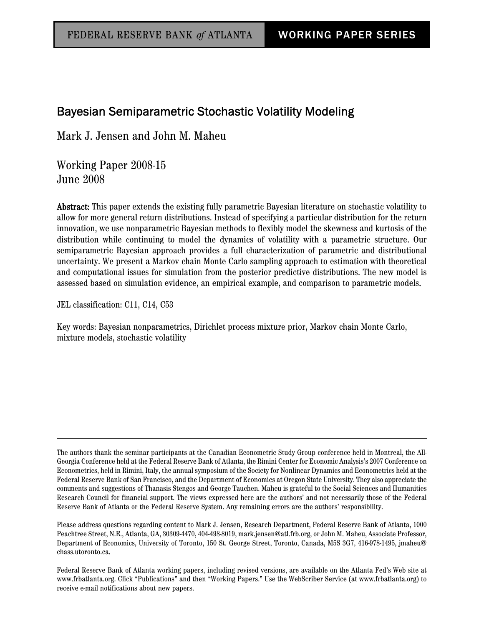## Bayesian Semiparametric Stochastic Volatility Modeling

Mark J. Jensen and John M. Maheu

Working Paper 2008-15 June 2008

Abstract: This paper extends the existing fully parametric Bayesian literature on stochastic volatility to allow for more general return distributions. Instead of specifying a particular distribution for the return innovation, we use nonparametric Bayesian methods to flexibly model the skewness and kurtosis of the distribution while continuing to model the dynamics of volatility with a parametric structure. Our semiparametric Bayesian approach provides a full characterization of parametric and distributional uncertainty. We present a Markov chain Monte Carlo sampling approach to estimation with theoretical and computational issues for simulation from the posterior predictive distributions. The new model is assessed based on simulation evidence, an empirical example, and comparison to parametric models.

JEL classification: C11, C14, C53

Key words: Bayesian nonparametrics, Dirichlet process mixture prior, Markov chain Monte Carlo, mixture models, stochastic volatility

The authors thank the seminar participants at the Canadian Econometric Study Group conference held in Montreal, the All-Georgia Conference held at the Federal Reserve Bank of Atlanta, the Rimini Center for Economic Analysis's 2007 Conference on Econometrics, held in Rimini, Italy, the annual symposium of the Society for Nonlinear Dynamics and Econometrics held at the Federal Reserve Bank of San Francisco, and the Department of Economics at Oregon State University. They also appreciate the comments and suggestions of Thanasis Stengos and George Tauchen. Maheu is grateful to the Social Sciences and Humanities Research Council for financial support. The views expressed here are the authors' and not necessarily those of the Federal Reserve Bank of Atlanta or the Federal Reserve System. Any remaining errors are the authors' responsibility.

Please address questions regarding content to Mark J. Jensen, Research Department, Federal Reserve Bank of Atlanta, 1000 Peachtree Street, N.E., Atlanta, GA, 30309-4470, 404-498-8019, mark.jensen@atl.frb.org, or John M. Maheu, Associate Professor, Department of Economics, University of Toronto, 150 St. George Street, Toronto, Canada, M5S 3G7, 416-978-1495, jmaheu@ chass.utoronto.ca.

Federal Reserve Bank of Atlanta working papers, including revised versions, are available on the Atlanta Fed's Web site at www.frbatlanta.org. Click "Publications" and then "Working Papers." Use the WebScriber Service (at www.frbatlanta.org) to receive e-mail notifications about new papers.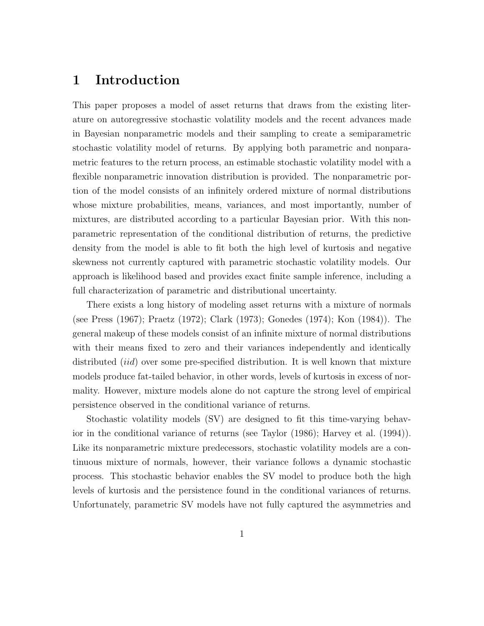## 1 Introduction

This paper proposes a model of asset returns that draws from the existing literature on autoregressive stochastic volatility models and the recent advances made in Bayesian nonparametric models and their sampling to create a semiparametric stochastic volatility model of returns. By applying both parametric and nonparametric features to the return process, an estimable stochastic volatility model with a flexible nonparametric innovation distribution is provided. The nonparametric portion of the model consists of an infinitely ordered mixture of normal distributions whose mixture probabilities, means, variances, and most importantly, number of mixtures, are distributed according to a particular Bayesian prior. With this nonparametric representation of the conditional distribution of returns, the predictive density from the model is able to fit both the high level of kurtosis and negative skewness not currently captured with parametric stochastic volatility models. Our approach is likelihood based and provides exact finite sample inference, including a full characterization of parametric and distributional uncertainty.

There exists a long history of modeling asset returns with a mixture of normals (see Press (1967); Praetz (1972); Clark (1973); Gonedes (1974); Kon (1984)). The general makeup of these models consist of an infinite mixture of normal distributions with their means fixed to zero and their variances independently and identically distributed *(iid)* over some pre-specified distribution. It is well known that mixture models produce fat-tailed behavior, in other words, levels of kurtosis in excess of normality. However, mixture models alone do not capture the strong level of empirical persistence observed in the conditional variance of returns.

Stochastic volatility models (SV) are designed to fit this time-varying behavior in the conditional variance of returns (see Taylor (1986); Harvey et al. (1994)). Like its nonparametric mixture predecessors, stochastic volatility models are a continuous mixture of normals, however, their variance follows a dynamic stochastic process. This stochastic behavior enables the SV model to produce both the high levels of kurtosis and the persistence found in the conditional variances of returns. Unfortunately, parametric SV models have not fully captured the asymmetries and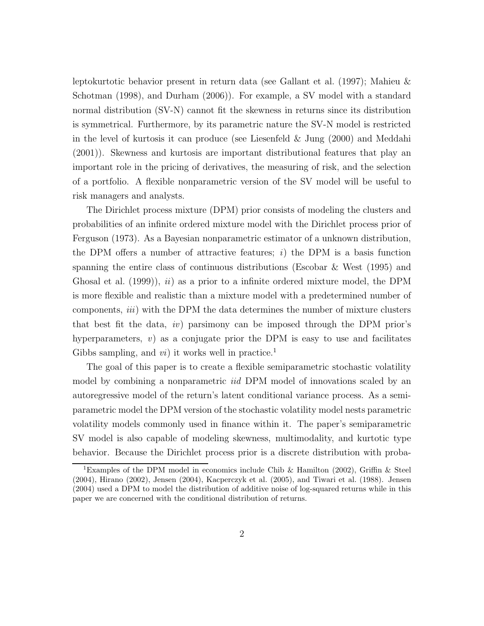leptokurtotic behavior present in return data (see Gallant et al. (1997); Mahieu & Schotman (1998), and Durham (2006)). For example, a SV model with a standard normal distribution (SV-N) cannot fit the skewness in returns since its distribution is symmetrical. Furthermore, by its parametric nature the SV-N model is restricted in the level of kurtosis it can produce (see Liesenfeld & Jung (2000) and Meddahi (2001)). Skewness and kurtosis are important distributional features that play an important role in the pricing of derivatives, the measuring of risk, and the selection of a portfolio. A flexible nonparametric version of the SV model will be useful to risk managers and analysts.

The Dirichlet process mixture (DPM) prior consists of modeling the clusters and probabilities of an infinite ordered mixture model with the Dirichlet process prior of Ferguson (1973). As a Bayesian nonparametric estimator of a unknown distribution, the DPM offers a number of attractive features;  $i)$  the DPM is a basis function spanning the entire class of continuous distributions (Escobar & West (1995) and Ghosal et al.  $(1999)$ ,  $ii)$  as a prior to a infinite ordered mixture model, the DPM is more flexible and realistic than a mixture model with a predetermined number of components, iii) with the DPM the data determines the number of mixture clusters that best fit the data, iv) parsimony can be imposed through the DPM prior's hyperparameters,  $v$ ) as a conjugate prior the DPM is easy to use and facilitates Gibbs sampling, and  $vi$ ) it works well in practice.<sup>1</sup>

The goal of this paper is to create a flexible semiparametric stochastic volatility model by combining a nonparametric *iid* DPM model of innovations scaled by an autoregressive model of the return's latent conditional variance process. As a semiparametric model the DPM version of the stochastic volatility model nests parametric volatility models commonly used in finance within it. The paper's semiparametric SV model is also capable of modeling skewness, multimodality, and kurtotic type behavior. Because the Dirichlet process prior is a discrete distribution with proba-

<sup>&</sup>lt;sup>1</sup>Examples of the DPM model in economics include Chib & Hamilton (2002), Griffin & Steel (2004), Hirano (2002), Jensen (2004), Kacperczyk et al. (2005), and Tiwari et al. (1988). Jensen (2004) used a DPM to model the distribution of additive noise of log-squared returns while in this paper we are concerned with the conditional distribution of returns.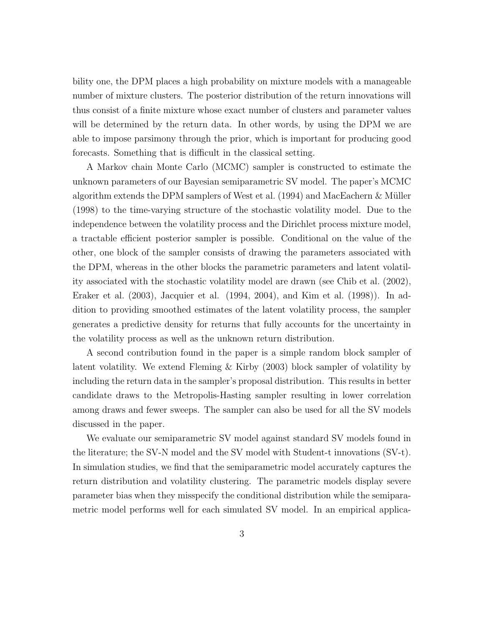bility one, the DPM places a high probability on mixture models with a manageable number of mixture clusters. The posterior distribution of the return innovations will thus consist of a finite mixture whose exact number of clusters and parameter values will be determined by the return data. In other words, by using the DPM we are able to impose parsimony through the prior, which is important for producing good forecasts. Something that is difficult in the classical setting.

A Markov chain Monte Carlo (MCMC) sampler is constructed to estimate the unknown parameters of our Bayesian semiparametric SV model. The paper's MCMC algorithm extends the DPM samplers of West et al.  $(1994)$  and MacEachern & Müller (1998) to the time-varying structure of the stochastic volatility model. Due to the independence between the volatility process and the Dirichlet process mixture model, a tractable efficient posterior sampler is possible. Conditional on the value of the other, one block of the sampler consists of drawing the parameters associated with the DPM, whereas in the other blocks the parametric parameters and latent volatility associated with the stochastic volatility model are drawn (see Chib et al. (2002), Eraker et al. (2003), Jacquier et al. (1994, 2004), and Kim et al. (1998)). In addition to providing smoothed estimates of the latent volatility process, the sampler generates a predictive density for returns that fully accounts for the uncertainty in the volatility process as well as the unknown return distribution.

A second contribution found in the paper is a simple random block sampler of latent volatility. We extend Fleming & Kirby (2003) block sampler of volatility by including the return data in the sampler's proposal distribution. This results in better candidate draws to the Metropolis-Hasting sampler resulting in lower correlation among draws and fewer sweeps. The sampler can also be used for all the SV models discussed in the paper.

We evaluate our semiparametric SV model against standard SV models found in the literature; the SV-N model and the SV model with Student-t innovations (SV-t). In simulation studies, we find that the semiparametric model accurately captures the return distribution and volatility clustering. The parametric models display severe parameter bias when they misspecify the conditional distribution while the semiparametric model performs well for each simulated SV model. In an empirical applica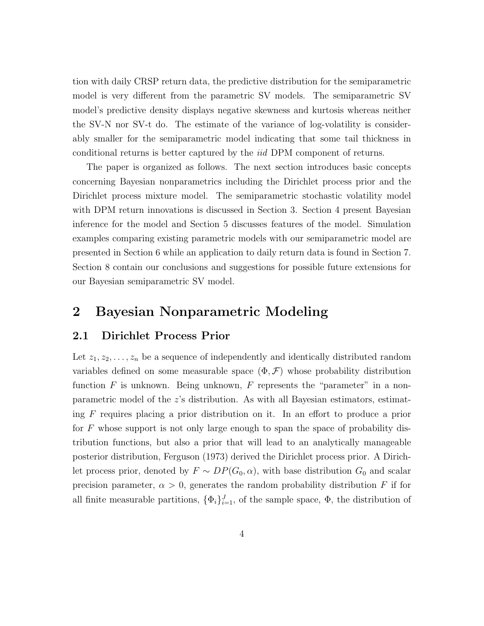tion with daily CRSP return data, the predictive distribution for the semiparametric model is very different from the parametric SV models. The semiparametric SV model's predictive density displays negative skewness and kurtosis whereas neither the SV-N nor SV-t do. The estimate of the variance of log-volatility is considerably smaller for the semiparametric model indicating that some tail thickness in conditional returns is better captured by the iid DPM component of returns.

The paper is organized as follows. The next section introduces basic concepts concerning Bayesian nonparametrics including the Dirichlet process prior and the Dirichlet process mixture model. The semiparametric stochastic volatility model with DPM return innovations is discussed in Section 3. Section 4 present Bayesian inference for the model and Section 5 discusses features of the model. Simulation examples comparing existing parametric models with our semiparametric model are presented in Section 6 while an application to daily return data is found in Section 7. Section 8 contain our conclusions and suggestions for possible future extensions for our Bayesian semiparametric SV model.

## 2 Bayesian Nonparametric Modeling

## 2.1 Dirichlet Process Prior

Let  $z_1, z_2, \ldots, z_n$  be a sequence of independently and identically distributed random variables defined on some measurable space  $(\Phi, \mathcal{F})$  whose probability distribution function F is unknown. Being unknown, F represents the "parameter" in a nonparametric model of the z's distribution. As with all Bayesian estimators, estimating  $F$  requires placing a prior distribution on it. In an effort to produce a prior for  $F$  whose support is not only large enough to span the space of probability distribution functions, but also a prior that will lead to an analytically manageable posterior distribution, Ferguson (1973) derived the Dirichlet process prior. A Dirichlet process prior, denoted by  $F \sim DP(G_0, \alpha)$ , with base distribution  $G_0$  and scalar precision parameter,  $\alpha > 0$ , generates the random probability distribution F if for all finite measurable partitions,  $\{\Phi_i\}_{i=1}^J$ , of the sample space,  $\Phi$ , the distribution of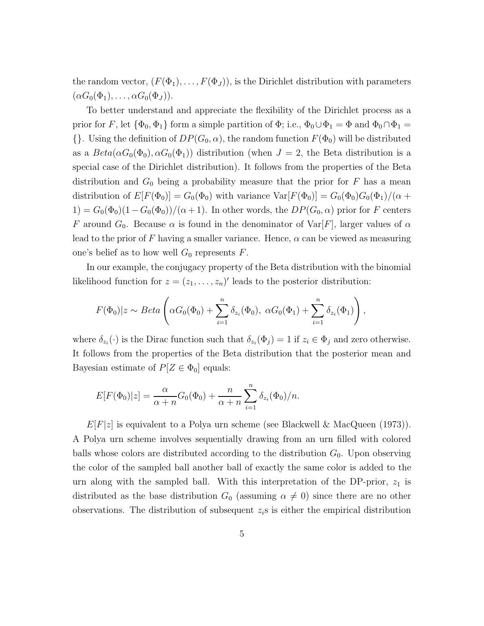the random vector,  $(F(\Phi_1), \ldots, F(\Phi_J))$ , is the Dirichlet distribution with parameters  $(\alpha G_0(\Phi_1), \ldots, \alpha G_0(\Phi_J)).$ 

To better understand and appreciate the flexibility of the Dirichlet process as a prior for F, let  $\{\Phi_0, \Phi_1\}$  form a simple partition of  $\Phi$ ; i.e.,  $\Phi_0 \cup \Phi_1 = \Phi$  and  $\Phi_0 \cap \Phi_1 =$  $\{\}$ . Using the definition of  $DP(G_0, \alpha)$ , the random function  $F(\Phi_0)$  will be distributed as a  $Beta(\alpha G_0(\Phi_0), \alpha G_0(\Phi_1))$  distribution (when  $J = 2$ , the Beta distribution is a special case of the Dirichlet distribution). It follows from the properties of the Beta distribution and  $G_0$  being a probability measure that the prior for F has a mean distribution of  $E[F(\Phi_0)] = G_0(\Phi_0)$  with variance  $Var[F(\Phi_0)] = G_0(\Phi_0)G_0(\Phi_1)/(\alpha +$  $1) = G_0(\Phi_0)(1 - G_0(\Phi_0))/(\alpha + 1)$ . In other words, the  $DP(G_0, \alpha)$  prior for F centers F around  $G_0$ . Because  $\alpha$  is found in the denominator of  $Var[F]$ , larger values of  $\alpha$ lead to the prior of F having a smaller variance. Hence,  $\alpha$  can be viewed as measuring one's belief as to how well  $G_0$  represents F.

In our example, the conjugacy property of the Beta distribution with the binomial likelihood function for  $z = (z_1, \ldots, z_n)'$  leads to the posterior distribution:

$$
F(\Phi_0)|z \sim Beta\left(\alpha G_0(\Phi_0) + \sum_{i=1}^n \delta_{z_i}(\Phi_0), \ \alpha G_0(\Phi_1) + \sum_{i=1}^n \delta_{z_i}(\Phi_1)\right),
$$

where  $\delta_{z_i}(\cdot)$  is the Dirac function such that  $\delta_{z_i}(\Phi_j) = 1$  if  $z_i \in \Phi_j$  and zero otherwise. It follows from the properties of the Beta distribution that the posterior mean and Bayesian estimate of  $P[Z \in \Phi_0]$  equals:

$$
E[F(\Phi_0)|z] = \frac{\alpha}{\alpha + n} G_0(\Phi_0) + \frac{n}{\alpha + n} \sum_{i=1}^n \delta_{z_i}(\Phi_0) / n.
$$

 $E[F]z]$  is equivalent to a Polya urn scheme (see Blackwell & MacQueen (1973)). A Polya urn scheme involves sequentially drawing from an urn filled with colored balls whose colors are distributed according to the distribution  $G_0$ . Upon observing the color of the sampled ball another ball of exactly the same color is added to the urn along with the sampled ball. With this interpretation of the DP-prior,  $z_1$  is distributed as the base distribution  $G_0$  (assuming  $\alpha \neq 0$ ) since there are no other observations. The distribution of subsequent  $z_i$ s is either the empirical distribution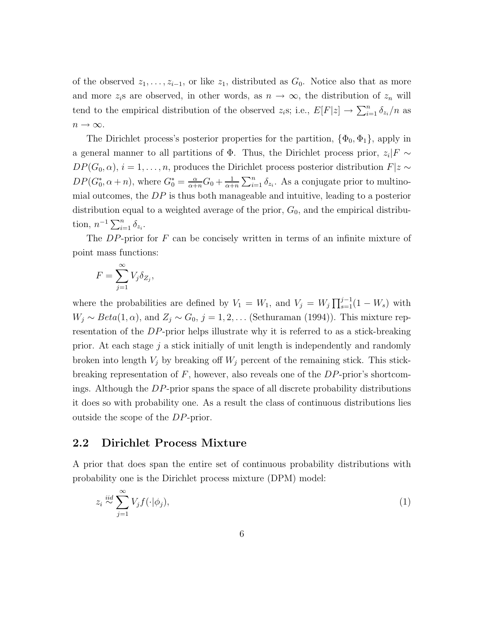of the observed  $z_1, \ldots, z_{i-1}$ , or like  $z_1$ , distributed as  $G_0$ . Notice also that as more and more  $z_i$ s are observed, in other words, as  $n \to \infty$ , the distribution of  $z_n$  will tend to the empirical distribution of the observed  $z_i$ s; i.e.,  $E[F|z] \to \sum_{i=1}^n \delta_{z_i}/n$  as  $n \to \infty$ .

The Dirichlet process's posterior properties for the partition,  $\{\Phi_0, \Phi_1\}$ , apply in a general manner to all partitions of  $\Phi$ . Thus, the Dirichlet process prior,  $z_i$ |F ∼  $DP(G_0, \alpha)$ ,  $i = 1, \ldots, n$ , produces the Dirichlet process posterior distribution  $F|z \sim$  $DP(G_0^*, \alpha + n)$ , where  $G_0^* = \frac{\alpha}{\alpha + n} G_0 + \frac{1}{\alpha + n}$  $\frac{1}{\alpha+n} \sum_{i=1}^n \delta_{z_i}$ . As a conjugate prior to multinomial outcomes, the  $DP$  is thus both manageable and intuitive, leading to a posterior distribution equal to a weighted average of the prior,  $G_0$ , and the empirical distribution,  $n^{-1} \sum_{i=1}^{n} \delta_{z_i}$ .

The  $DP$ -prior for  $F$  can be concisely written in terms of an infinite mixture of point mass functions:

$$
F = \sum_{j=1}^{\infty} V_j \delta_{Z_j},
$$

where the probabilities are defined by  $V_1 = W_1$ , and  $V_j = W_j \prod_{s=1}^{j-1} (1 - W_s)$  with  $W_j \sim Beta(1, \alpha)$ , and  $Z_j \sim G_0$ ,  $j = 1, 2, \dots$  (Sethuraman (1994)). This mixture representation of the DP-prior helps illustrate why it is referred to as a stick-breaking prior. At each stage  $i$  a stick initially of unit length is independently and randomly broken into length  $V_j$  by breaking off  $W_j$  percent of the remaining stick. This stickbreaking representation of  $F$ , however, also reveals one of the  $DP$ -prior's shortcomings. Although the DP-prior spans the space of all discrete probability distributions it does so with probability one. As a result the class of continuous distributions lies outside the scope of the DP-prior.

#### 2.2 Dirichlet Process Mixture

A prior that does span the entire set of continuous probability distributions with probability one is the Dirichlet process mixture (DPM) model:

$$
z_i \stackrel{iid}{\sim} \sum_{j=1}^{\infty} V_j f(\cdot | \phi_j), \tag{1}
$$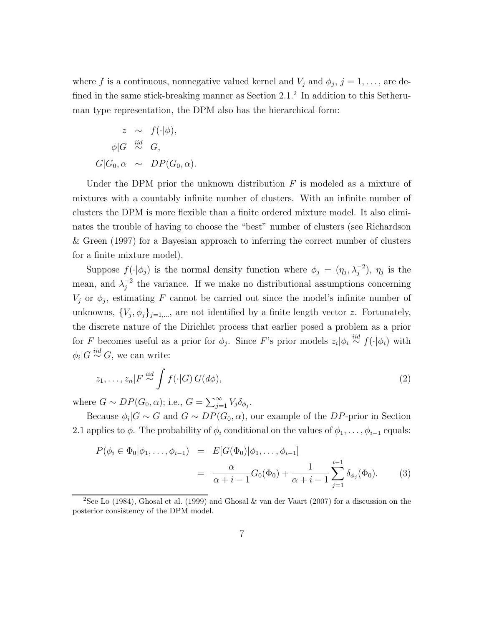where f is a continuous, nonnegative valued kernel and  $V_j$  and  $\phi_j$ ,  $j = 1, \ldots$ , are defined in the same stick-breaking manner as Section 2.1.<sup>2</sup> In addition to this Setheruman type representation, the DPM also has the hierarchical form:

$$
z \sim f(\cdot | \phi),
$$
  
\n
$$
\phi | G \stackrel{iid}{\sim} G,
$$
  
\n
$$
G | G_0, \alpha \sim DP(G_0, \alpha).
$$

Under the DPM prior the unknown distribution  $F$  is modeled as a mixture of mixtures with a countably infinite number of clusters. With an infinite number of clusters the DPM is more flexible than a finite ordered mixture model. It also eliminates the trouble of having to choose the "best" number of clusters (see Richardson & Green (1997) for a Bayesian approach to inferring the correct number of clusters for a finite mixture model).

Suppose  $f(\cdot|\phi_j)$  is the normal density function where  $\phi_j = (\eta_j, \lambda_j^{-2}), \eta_j$  is the mean, and  $\lambda_i^{-2}$  $j^2$  the variance. If we make no distributional assumptions concerning  $V_j$  or  $\phi_j$ , estimating F cannot be carried out since the model's infinite number of unknowns,  $\{V_j, \phi_j\}_{j=1,\dots}$ , are not identified by a finite length vector z. Fortunately, the discrete nature of the Dirichlet process that earlier posed a problem as a prior for F becomes useful as a prior for  $\phi_j$ . Since F's prior models  $z_i | \phi_i \stackrel{iid}{\sim} f(\cdot | \phi_i)$  with  $\phi_i|G \stackrel{iid}{\sim} G$ , we can write:

$$
z_1, \ldots, z_n | F \stackrel{iid}{\sim} \int f(\cdot | G) G(d\phi), \qquad (2)
$$

where  $G \sim DP(G_0, \alpha)$ ; i.e.,  $G = \sum_{j=1}^{\infty} V_j \delta_{\phi_j}$ .

Because  $\phi_i | G \sim G$  and  $G \sim DP(G_0, \alpha)$ , our example of the DP-prior in Section 2.1 applies to  $\phi$ . The probability of  $\phi_i$  conditional on the values of  $\phi_1, \ldots, \phi_{i-1}$  equals:

$$
P(\phi_i \in \Phi_0 | \phi_1, \dots, \phi_{i-1}) = E[G(\Phi_0) | \phi_1, \dots, \phi_{i-1}]
$$
  
= 
$$
\frac{\alpha}{\alpha + i - 1} G_0(\Phi_0) + \frac{1}{\alpha + i - 1} \sum_{j=1}^{i-1} \delta_{\phi_j}(\Phi_0).
$$
 (3)

<sup>&</sup>lt;sup>2</sup>See Lo (1984), Ghosal et al. (1999) and Ghosal & van der Vaart (2007) for a discussion on the posterior consistency of the DPM model.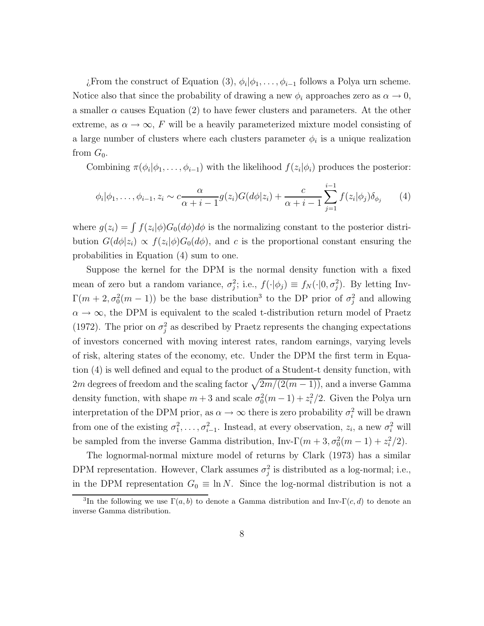¿From the construct of Equation (3),  $\phi_i | \phi_1, \ldots, \phi_{i-1}$  follows a Polya urn scheme. Notice also that since the probability of drawing a new  $\phi_i$  approaches zero as  $\alpha \to 0$ , a smaller  $\alpha$  causes Equation (2) to have fewer clusters and parameters. At the other extreme, as  $\alpha \to \infty$ , F will be a heavily parameterized mixture model consisting of a large number of clusters where each clusters parameter  $\phi_i$  is a unique realization from  $G_0$ .

Combining  $\pi(\phi_i|\phi_1,\ldots,\phi_{i-1})$  with the likelihood  $f(z_i|\phi_i)$  produces the posterior:

$$
\phi_i|\phi_1,\ldots,\phi_{i-1},z_i \sim c\frac{\alpha}{\alpha+i-1}g(z_i)G(d\phi|z_i) + \frac{c}{\alpha+i-1}\sum_{j=1}^{i-1}f(z_i|\phi_j)\delta_{\phi_j} \qquad (4)
$$

where  $g(z_i) = \int f(z_i|\phi)G_0(d\phi)d\phi$  is the normalizing constant to the posterior distribution  $G(d\phi|z_i) \propto f(z_i|\phi)G_0(d\phi)$ , and c is the proportional constant ensuring the probabilities in Equation (4) sum to one.

Suppose the kernel for the DPM is the normal density function with a fixed mean of zero but a random variance,  $\sigma_j^2$ ; i.e.,  $f(\cdot|\phi_j) \equiv f_N(\cdot|0, \sigma_j^2)$ . By letting Inv- $\Gamma(m+2,\sigma_0^2(m-1))$  be the base distribution<sup>3</sup> to the DP prior of  $\sigma_j^2$  and allowing  $\alpha \to \infty$ , the DPM is equivalent to the scaled t-distribution return model of Praetz (1972). The prior on  $\sigma_j^2$  as described by Praetz represents the changing expectations of investors concerned with moving interest rates, random earnings, varying levels of risk, altering states of the economy, etc. Under the DPM the first term in Equation (4) is well defined and equal to the product of a Student-t density function, with 2m degrees of freedom and the scaling factor  $\sqrt{2m/(2(m-1))}$ , and a inverse Gamma density function, with shape  $m+3$  and scale  $\sigma_0^2(m-1) + z_i^2/2$ . Given the Polya urn interpretation of the DPM prior, as  $\alpha \to \infty$  there is zero probability  $\sigma_i^2$  will be drawn from one of the existing  $\sigma_1^2, \ldots, \sigma_{i-1}^2$ . Instead, at every observation,  $z_i$ , a new  $\sigma_i^2$  will be sampled from the inverse Gamma distribution, Inv- $\Gamma(m+3, \sigma_0^2(m-1) + z_i^2/2)$ .

The lognormal-normal mixture model of returns by Clark (1973) has a similar DPM representation. However, Clark assumes  $\sigma_j^2$  is distributed as a log-normal; i.e., in the DPM representation  $G_0 \equiv \ln N$ . Since the log-normal distribution is not a

<sup>&</sup>lt;sup>3</sup>In the following we use  $\Gamma(a, b)$  to denote a Gamma distribution and Inv- $\Gamma(c, d)$  to denote an inverse Gamma distribution.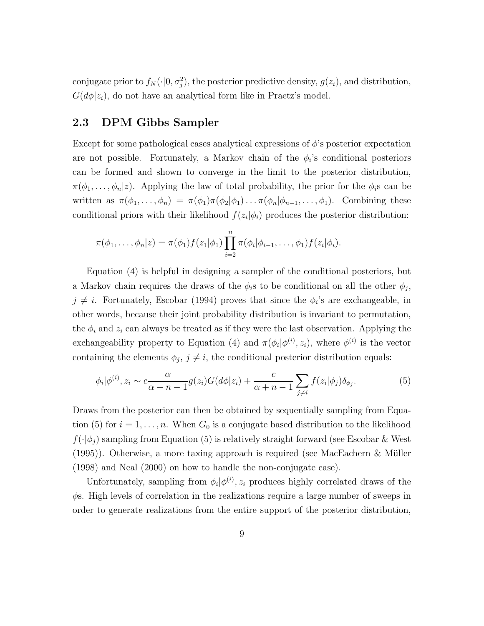conjugate prior to  $f_N(\cdot|0, \sigma_j^2)$ , the posterior predictive density,  $g(z_i)$ , and distribution,  $G(d\phi|z_i)$ , do not have an analytical form like in Praetz's model.

### 2.3 DPM Gibbs Sampler

Except for some pathological cases analytical expressions of  $\phi$ 's posterior expectation are not possible. Fortunately, a Markov chain of the  $\phi_i$ 's conditional posteriors can be formed and shown to converge in the limit to the posterior distribution,  $\pi(\phi_1,\ldots,\phi_n|z)$ . Applying the law of total probability, the prior for the  $\phi_i$ s can be written as  $\pi(\phi_1,\ldots,\phi_n) = \pi(\phi_1)\pi(\phi_2|\phi_1)\ldots\pi(\phi_n|\phi_{n-1},\ldots,\phi_1)$ . Combining these conditional priors with their likelihood  $f(z_i|\phi_i)$  produces the posterior distribution:

$$
\pi(\phi_1,\ldots,\phi_n|z) = \pi(\phi_1)f(z_1|\phi_1)\prod_{i=2}^n \pi(\phi_i|\phi_{i-1},\ldots,\phi_1)f(z_i|\phi_i).
$$

Equation (4) is helpful in designing a sampler of the conditional posteriors, but a Markov chain requires the draws of the  $\phi_i$ s to be conditional on all the other  $\phi_j$ ,  $j \neq i$ . Fortunately, Escobar (1994) proves that since the  $\phi_i$ 's are exchangeable, in other words, because their joint probability distribution is invariant to permutation, the  $\phi_i$  and  $z_i$  can always be treated as if they were the last observation. Applying the exchangeability property to Equation (4) and  $\pi(\phi_i|\phi^{(i)}, z_i)$ , where  $\phi^{(i)}$  is the vector containing the elements  $\phi_j$ ,  $j \neq i$ , the conditional posterior distribution equals:

$$
\phi_i|\phi^{(i)}, z_i \sim c\frac{\alpha}{\alpha + n - 1}g(z_i)G(d\phi|z_i) + \frac{c}{\alpha + n - 1}\sum_{j \neq i} f(z_i|\phi_j)\delta_{\phi_j}.
$$
 (5)

Draws from the posterior can then be obtained by sequentially sampling from Equation (5) for  $i = 1, \ldots, n$ . When  $G_0$  is a conjugate based distribution to the likelihood  $f(\cdot|\phi_i)$  sampling from Equation (5) is relatively straight forward (see Escobar & West  $(1995)$ ). Otherwise, a more taxing approach is required (see MacEachern & Müller (1998) and Neal (2000) on how to handle the non-conjugate case).

Unfortunately, sampling from  $\phi_i | \phi^{(i)}(z_i)$  produces highly correlated draws of the  $\phi$ s. High levels of correlation in the realizations require a large number of sweeps in order to generate realizations from the entire support of the posterior distribution,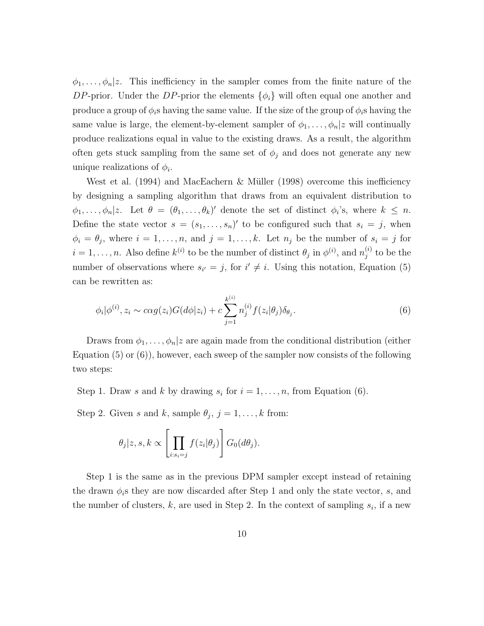$\phi_1, \ldots, \phi_n | z$ . This inefficiency in the sampler comes from the finite nature of the DP-prior. Under the DP-prior the elements  $\{\phi_i\}$  will often equal one another and produce a group of  $\phi_i$ s having the same value. If the size of the group of  $\phi_i$ s having the same value is large, the element-by-element sampler of  $\phi_1, \ldots, \phi_n | z$  will continually produce realizations equal in value to the existing draws. As a result, the algorithm often gets stuck sampling from the same set of  $\phi_j$  and does not generate any new unique realizations of  $\phi_i$ .

West et al.  $(1994)$  and MacEachern & Müller  $(1998)$  overcome this inefficiency by designing a sampling algorithm that draws from an equivalent distribution to  $\phi_1,\ldots,\phi_n|z$ . Let  $\theta = (\theta_1,\ldots,\theta_k)'$  denote the set of distinct  $\phi_i$ 's, where  $k \leq n$ . Define the state vector  $s = (s_1, \ldots, s_n)'$  to be configured such that  $s_i = j$ , when  $\phi_i = \theta_j$ , where  $i = 1, \ldots, n$ , and  $j = 1, \ldots, k$ . Let  $n_j$  be the number of  $s_i = j$  for  $i = 1, \ldots, n$ . Also define  $k^{(i)}$  to be the number of distinct  $\theta_j$  in  $\phi^{(i)}$ , and  $n_j^{(i)}$  $j^{(i)}$  to be the number of observations where  $s_{i'} = j$ , for  $i' \neq i$ . Using this notation, Equation (5) can be rewritten as:

$$
\phi_i|\phi^{(i)}, z_i \sim c\alpha g(z_i)G(d\phi|z_i) + c\sum_{j=1}^{k^{(i)}} n_j^{(i)} f(z_i|\theta_j)\delta_{\theta_j}.
$$
\n
$$
(6)
$$

Draws from  $\phi_1, \ldots, \phi_n | z$  are again made from the conditional distribution (either Equation  $(5)$  or  $(6)$ ), however, each sweep of the sampler now consists of the following two steps:

Step 1. Draw s and k by drawing  $s_i$  for  $i = 1, \ldots, n$ , from Equation (6).

Step 2. Given s and k, sample  $\theta_j$ ,  $j = 1, ..., k$  from:

$$
\theta_j | z, s, k \propto \left[ \prod_{i:s_i=j} f(z_i | \theta_j) \right] G_0(d\theta_j).
$$

Step 1 is the same as in the previous DPM sampler except instead of retaining the drawn  $\phi_i$ s they are now discarded after Step 1 and only the state vector, s, and the number of clusters,  $k$ , are used in Step 2. In the context of sampling  $s_i$ , if a new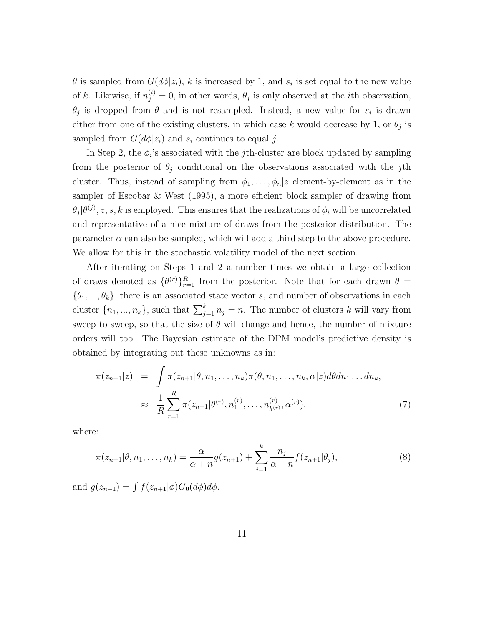$\theta$  is sampled from  $G(d\phi|z_i)$ , k is increased by 1, and  $s_i$  is set equal to the new value of k. Likewise, if  $n_j^{(i)} = 0$ , in other words,  $\theta_j$  is only observed at the *i*th observation,  $\theta_j$  is dropped from  $\theta$  and is not resampled. Instead, a new value for  $s_i$  is drawn either from one of the existing clusters, in which case k would decrease by 1, or  $\theta_j$  is sampled from  $G(d\phi|z_i)$  and  $s_i$  continues to equal j.

In Step 2, the  $\phi_i$ 's associated with the *j*th-cluster are block updated by sampling from the posterior of  $\theta_j$  conditional on the observations associated with the jth cluster. Thus, instead of sampling from  $\phi_1, \ldots, \phi_n | z$  element-by-element as in the sampler of Escobar & West (1995), a more efficient block sampler of drawing from  $\theta_j|\theta^{(j)}, z, s, k$  is employed. This ensures that the realizations of  $\phi_i$  will be uncorrelated and representative of a nice mixture of draws from the posterior distribution. The parameter  $\alpha$  can also be sampled, which will add a third step to the above procedure. We allow for this in the stochastic volatility model of the next section.

After iterating on Steps 1 and 2 a number times we obtain a large collection of draws denoted as  $\{\theta^{(r)}\}_{r=1}^R$  from the posterior. Note that for each drawn  $\theta =$  $\{\theta_1, ..., \theta_k\}$ , there is an associated state vector s, and number of observations in each cluster  $\{n_1, ..., n_k\}$ , such that  $\sum_{j=1}^k n_j = n$ . The number of clusters k will vary from sweep to sweep, so that the size of  $\theta$  will change and hence, the number of mixture orders will too. The Bayesian estimate of the DPM model's predictive density is obtained by integrating out these unknowns as in:

$$
\pi(z_{n+1}|z) = \int \pi(z_{n+1}|\theta, n_1, \dots, n_k) \pi(\theta, n_1, \dots, n_k, \alpha|z) d\theta dn_1 \dots dn_k,
$$
  

$$
\approx \frac{1}{R} \sum_{r=1}^R \pi(z_{n+1}|\theta^{(r)}, n_1^{(r)}, \dots, n_{k^{(r)}}^{(r)}, \alpha^{(r)}),
$$
 (7)

where:

$$
\pi(z_{n+1}|\theta, n_1, \dots, n_k) = \frac{\alpha}{\alpha + n} g(z_{n+1}) + \sum_{j=1}^k \frac{n_j}{\alpha + n} f(z_{n+1}|\theta_j),
$$
\n(8)

and  $g(z_{n+1}) = \int f(z_{n+1}|\phi)G_0(d\phi)d\phi$ .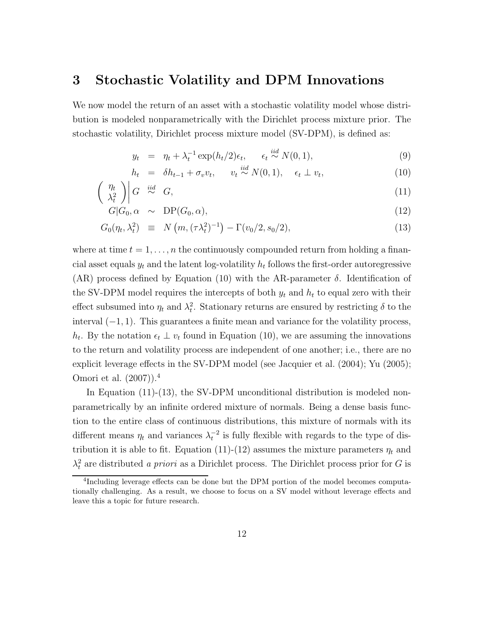## 3 Stochastic Volatility and DPM Innovations

We now model the return of an asset with a stochastic volatility model whose distribution is modeled nonparametrically with the Dirichlet process mixture prior. The stochastic volatility, Dirichlet process mixture model (SV-DPM), is defined as:

$$
y_t = \eta_t + \lambda_t^{-1} \exp(h_t/2)\epsilon_t, \quad \epsilon_t \stackrel{iid}{\sim} N(0, 1), \tag{9}
$$

$$
h_t = \delta h_{t-1} + \sigma_v v_t, \qquad v_t \stackrel{iid}{\sim} N(0, 1), \quad \epsilon_t \perp v_t,
$$
\n
$$
(10)
$$

$$
\left(\begin{array}{c}\n\eta_t \\
\lambda_t^2\n\end{array}\right)\n\left| G \right| \stackrel{iid}{\sim} G,\n\tag{11}
$$

$$
G|G_0, \alpha \sim \text{DP}(G_0, \alpha), \qquad (12)
$$

$$
G_0(\eta_t, \lambda_t^2) \equiv N\left(m, (\tau \lambda_t^2)^{-1}\right) - \Gamma(v_0/2, s_0/2), \tag{13}
$$

where at time  $t = 1, \ldots, n$  the continuously compounded return from holding a financial asset equals  $y_t$  and the latent log-volatility  $h_t$  follows the first-order autoregressive (AR) process defined by Equation (10) with the AR-parameter  $\delta$ . Identification of the SV-DPM model requires the intercepts of both  $y_t$  and  $h_t$  to equal zero with their effect subsumed into  $\eta_t$  and  $\lambda_t^2$ . Stationary returns are ensured by restricting  $\delta$  to the interval  $(-1, 1)$ . This guarantees a finite mean and variance for the volatility process,  $h_t$ . By the notation  $\epsilon_t \perp v_t$  found in Equation (10), we are assuming the innovations to the return and volatility process are independent of one another; i.e., there are no explicit leverage effects in the SV-DPM model (see Jacquier et al. (2004); Yu (2005); Omori et al. (2007)).<sup>4</sup>

In Equation (11)-(13), the SV-DPM unconditional distribution is modeled nonparametrically by an infinite ordered mixture of normals. Being a dense basis function to the entire class of continuous distributions, this mixture of normals with its different means  $\eta_t$  and variances  $\lambda_t^{-2}$  is fully flexible with regards to the type of distribution it is able to fit. Equation (11)-(12) assumes the mixture parameters  $\eta_t$  and  $\lambda_t^2$  are distributed a priori as a Dirichlet process. The Dirichlet process prior for G is

<sup>4</sup> Including leverage effects can be done but the DPM portion of the model becomes computationally challenging. As a result, we choose to focus on a SV model without leverage effects and leave this a topic for future research.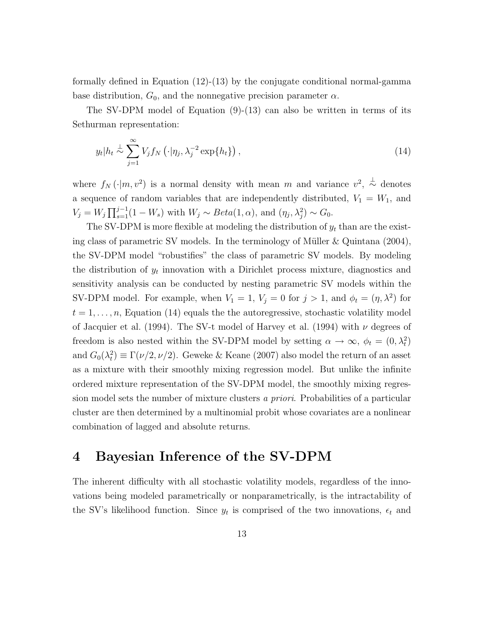formally defined in Equation (12)-(13) by the conjugate conditional normal-gamma base distribution,  $G_0$ , and the nonnegative precision parameter  $\alpha$ .

The SV-DPM model of Equation (9)-(13) can also be written in terms of its Sethurman representation:

$$
y_t|h_t \stackrel{\perp}{\sim} \sum_{j=1}^{\infty} V_j f_N(\cdot|\eta_j, \lambda_j^{-2} \exp\{h_t\}), \qquad (14)
$$

where  $f_N(\cdot|m, v^2)$  is a normal density with mean m and variance  $v^2$ ,  $\stackrel{\perp}{\sim}$  denotes a sequence of random variables that are independently distributed,  $V_1 = W_1$ , and  $V_j = W_j \prod_{s=1}^{j-1} (1 - W_s)$  with  $W_j \sim Beta(1, \alpha)$ , and  $(\eta_j, \lambda_j^2) \sim G_0$ .

The SV-DPM is more flexible at modeling the distribution of  $y_t$  than are the existing class of parametric SV models. In the terminology of Müller  $\&$  Quintana (2004), the SV-DPM model "robustifies" the class of parametric SV models. By modeling the distribution of  $y_t$  innovation with a Dirichlet process mixture, diagnostics and sensitivity analysis can be conducted by nesting parametric SV models within the SV-DPM model. For example, when  $V_1 = 1$ ,  $V_j = 0$  for  $j > 1$ , and  $\phi_t = (\eta, \lambda^2)$  for  $t = 1, \ldots, n$ , Equation (14) equals the the autoregressive, stochastic volatility model of Jacquier et al. (1994). The SV-t model of Harvey et al. (1994) with  $\nu$  degrees of freedom is also nested within the SV-DPM model by setting  $\alpha \to \infty$ ,  $\phi_t = (0, \lambda_t^2)$ and  $G_0(\lambda_t^2) \equiv \Gamma(\nu/2, \nu/2)$ . Geweke & Keane (2007) also model the return of an asset as a mixture with their smoothly mixing regression model. But unlike the infinite ordered mixture representation of the SV-DPM model, the smoothly mixing regression model sets the number of mixture clusters a priori. Probabilities of a particular cluster are then determined by a multinomial probit whose covariates are a nonlinear combination of lagged and absolute returns.

## 4 Bayesian Inference of the SV-DPM

The inherent difficulty with all stochastic volatility models, regardless of the innovations being modeled parametrically or nonparametrically, is the intractability of the SV's likelihood function. Since  $y_t$  is comprised of the two innovations,  $\epsilon_t$  and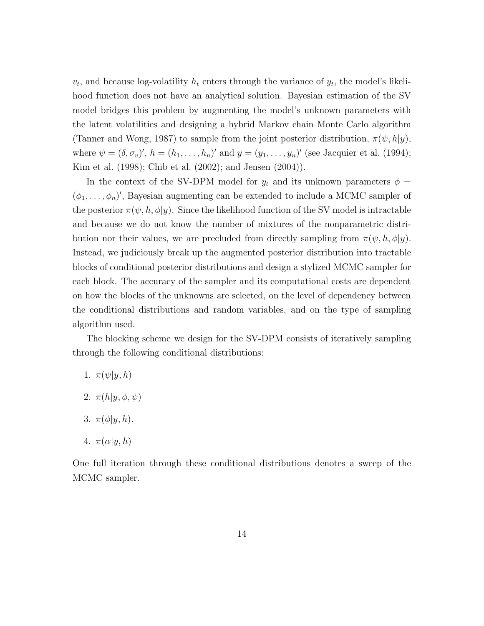$v_t$ , and because log-volatility  $h_t$  enters through the variance of  $y_t$ , the model's likelihood function does not have an analytical solution. Bayesian estimation of the SV model bridges this problem by augmenting the model's unknown parameters with the latent volatilities and designing a hybrid Markov chain Monte Carlo algorithm (Tanner and Wong, 1987) to sample from the joint posterior distribution,  $\pi(\psi, h|y)$ , where  $\psi = (\delta, \sigma_v)'$ ,  $h = (h_1, \ldots, h_n)'$  and  $y = (y_1, \ldots, y_n)'$  (see Jacquier et al. (1994); Kim et al. (1998); Chib et al. (2002); and Jensen (2004)).

In the context of the SV-DPM model for  $y_t$  and its unknown parameters  $\phi =$  $(\phi_1, \ldots, \phi_n)'$ , Bayesian augmenting can be extended to include a MCMC sampler of the posterior  $\pi(\psi, h, \phi | y)$ . Since the likelihood function of the SV model is intractable and because we do not know the number of mixtures of the nonparametric distribution nor their values, we are precluded from directly sampling from  $\pi(\psi, h, \phi | y)$ . Instead, we judiciously break up the augmented posterior distribution into tractable blocks of conditional posterior distributions and design a stylized MCMC sampler for each block. The accuracy of the sampler and its computational costs are dependent on how the blocks of the unknowns are selected, on the level of dependency between the conditional distributions and random variables, and on the type of sampling algorithm used.

The blocking scheme we design for the SV-DPM consists of iteratively sampling through the following conditional distributions:

- 1.  $\pi(\psi|y, h)$
- 2.  $\pi(h|y, \phi, \psi)$
- 3.  $\pi(\phi|y, h)$ .
- 4.  $\pi(\alpha|y, h)$

One full iteration through these conditional distributions denotes a sweep of the MCMC sampler.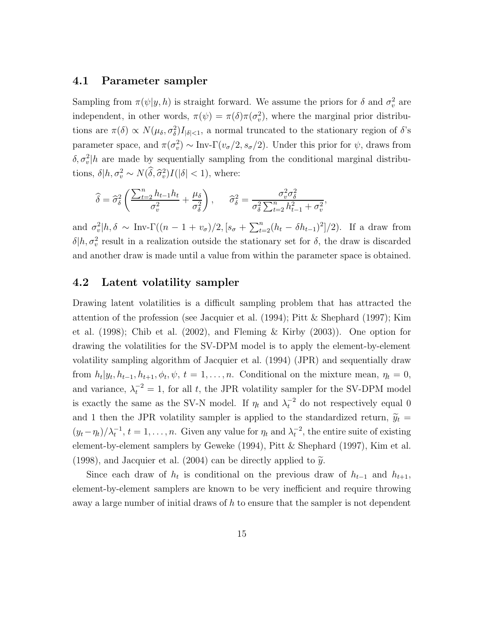#### 4.1 Parameter sampler

Sampling from  $\pi(\psi|y, h)$  is straight forward. We assume the priors for  $\delta$  and  $\sigma_v^2$  are independent, in other words,  $\pi(\psi) = \pi(\delta)\pi(\sigma_v^2)$ , where the marginal prior distributions are  $\pi(\delta) \propto N(\mu_{\delta}, \sigma_{\delta}^2) I_{|\delta| \leq 1}$ , a normal truncated to the stationary region of  $\delta$ 's parameter space, and  $\pi(\sigma_v^2) \sim \text{Inv-}\Gamma(v_\sigma/2, s_\sigma/2)$ . Under this prior for  $\psi$ , draws from  $\delta, \sigma_v^2|h$  are made by sequentially sampling from the conditional marginal distributions,  $\delta | h, \sigma_v^2 \sim N(\tilde{\delta}, \hat{\sigma}_v^2) I(|\delta| < 1)$ , where:

$$
\widehat{\delta} = \widehat{\sigma}_{\delta}^2 \left( \frac{\sum_{t=2}^n h_{t-1} h_t}{\sigma_v^2} + \frac{\mu_{\delta}}{\sigma_{\delta}^2} \right), \qquad \widehat{\sigma}_{\delta}^2 = \frac{\sigma_v^2 \sigma_{\delta}^2}{\sigma_{\delta}^2 \sum_{t=2}^n h_{t-1}^2 + \sigma_v^2},
$$

and  $\sigma_v^2|h, \delta \sim \text{Inv-}\Gamma((n-1+v_\sigma)/2, [s_\sigma + \sum_{t=2}^n (h_t - \delta h_{t-1})^2]/2)$ . If a draw from  $\delta | h, \sigma_v^2$  result in a realization outside the stationary set for  $\delta$ , the draw is discarded and another draw is made until a value from within the parameter space is obtained.

#### 4.2 Latent volatility sampler

Drawing latent volatilities is a difficult sampling problem that has attracted the attention of the profession (see Jacquier et al. (1994); Pitt & Shephard (1997); Kim et al. (1998); Chib et al. (2002), and Fleming & Kirby (2003)). One option for drawing the volatilities for the SV-DPM model is to apply the element-by-element volatility sampling algorithm of Jacquier et al. (1994) (JPR) and sequentially draw from  $h_t|y_t, h_{t-1}, h_{t+1}, \phi_t, \psi, t = 1, \ldots, n$ . Conditional on the mixture mean,  $\eta_t = 0$ , and variance,  $\lambda_t^{-2} = 1$ , for all t, the JPR volatility sampler for the SV-DPM model is exactly the same as the SV-N model. If  $\eta_t$  and  $\lambda_t^{-2}$  do not respectively equal 0 and 1 then the JPR volatility sampler is applied to the standardized return,  $\tilde{y}_t$  =  $(y_t - \eta_t)/\lambda_t^{-1}$ ,  $t = 1, \ldots, n$ . Given any value for  $\eta_t$  and  $\lambda_t^{-2}$ , the entire suite of existing element-by-element samplers by Geweke (1994), Pitt & Shephard (1997), Kim et al. (1998), and Jacquier et al. (2004) can be directly applied to  $\tilde{y}$ .

Since each draw of  $h_t$  is conditional on the previous draw of  $h_{t-1}$  and  $h_{t+1}$ , element-by-element samplers are known to be very inefficient and require throwing away a large number of initial draws of  $h$  to ensure that the sampler is not dependent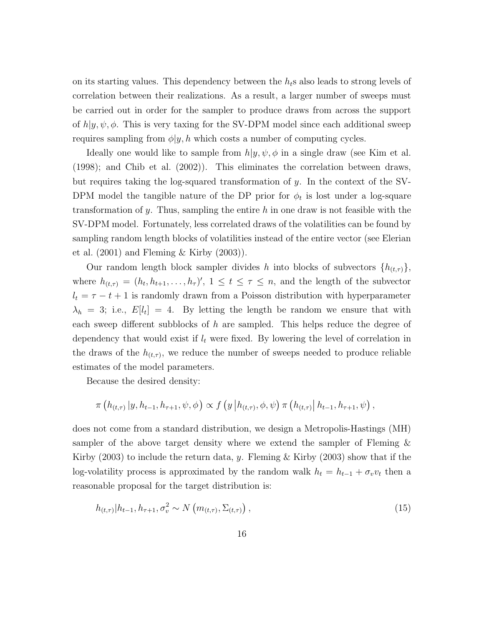on its starting values. This dependency between the  $h_t$ s also leads to strong levels of correlation between their realizations. As a result, a larger number of sweeps must be carried out in order for the sampler to produce draws from across the support of  $h|y, \psi, \phi$ . This is very taxing for the SV-DPM model since each additional sweep requires sampling from  $\phi|y, h$  which costs a number of computing cycles.

Ideally one would like to sample from  $h|y, \psi, \phi$  in a single draw (see Kim et al. (1998); and Chib et al. (2002)). This eliminates the correlation between draws, but requires taking the log-squared transformation of y. In the context of the SV-DPM model the tangible nature of the DP prior for  $\phi_t$  is lost under a log-square transformation of y. Thus, sampling the entire h in one draw is not feasible with the SV-DPM model. Fortunately, less correlated draws of the volatilities can be found by sampling random length blocks of volatilities instead of the entire vector (see Elerian et al.  $(2001)$  and Fleming & Kirby  $(2003)$ ).

Our random length block sampler divides h into blocks of subvectors  $\{h_{(t,\tau)}\},\$ where  $h_{(t,\tau)} = (h_t, h_{t+1}, \ldots, h_{\tau})'$ ,  $1 \le t \le \tau \le n$ , and the length of the subvector  $l_t = \tau - t + 1$  is randomly drawn from a Poisson distribution with hyperparameter  $\lambda_h = 3$ ; i.e.,  $E[l_t] = 4$ . By letting the length be random we ensure that with each sweep different subblocks of  $h$  are sampled. This helps reduce the degree of dependency that would exist if  $l_t$  were fixed. By lowering the level of correlation in the draws of the  $h_{(t,\tau)}$ , we reduce the number of sweeps needed to produce reliable estimates of the model parameters.

Because the desired density:

$$
\pi\left(h_{(t,\tau)}\,|y,h_{t-1},h_{\tau+1},\psi,\phi\right)\propto f\left(y\,|h_{(t,\tau)},\phi,\psi\right)\pi\left(h_{(t,\tau)}\,|h_{t-1},h_{\tau+1},\psi\right),
$$

does not come from a standard distribution, we design a Metropolis-Hastings (MH) sampler of the above target density where we extend the sampler of Fleming & Kirby  $(2003)$  to include the return data, y. Fleming & Kirby  $(2003)$  show that if the log-volatility process is approximated by the random walk  $h_t = h_{t-1} + \sigma_v v_t$  then a reasonable proposal for the target distribution is:

$$
h_{(t,\tau)}|h_{t-1}, h_{\tau+1}, \sigma_v^2 \sim N\left(m_{(t,\tau)}, \Sigma_{(t,\tau)}\right),\tag{15}
$$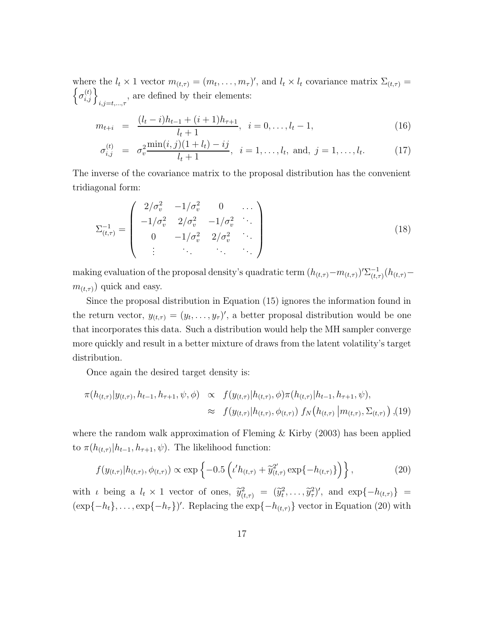where the  $l_t \times 1$  vector  $m_{(t,\tau)} = (m_t, \ldots, m_\tau)'$ , and  $l_t \times l_t$  covariance matrix  $\Sigma_{(t,\tau)} = \int_{\tau}^{(t)} \mathcal{L}(\tau)$  $\sigma_{i,j}^{(t)}\bigg\}_{i,j=t,...,\tau}$ , are defined by their elements:

$$
m_{t+i} = \frac{(l_t - i)h_{t-1} + (i+1)h_{\tau+1}}{l_t + 1}, \quad i = 0, \dots, l_t - 1,
$$
\n(16)

$$
\sigma_{i,j}^{(t)} = \sigma_v^2 \frac{\min(i,j)(1+l_t) - ij}{l_t + 1}, \quad i = 1, \dots, l_t, \text{ and, } j = 1, \dots, l_t.
$$
 (17)

The inverse of the covariance matrix to the proposal distribution has the convenient tridiagonal form:

$$
\Sigma_{(t,\tau)}^{-1} = \begin{pmatrix} 2/\sigma_v^2 & -1/\sigma_v^2 & 0 & \dots \\ -1/\sigma_v^2 & 2/\sigma_v^2 & -1/\sigma_v^2 & \dots \\ 0 & -1/\sigma_v^2 & 2/\sigma_v^2 & \dots \\ \vdots & \vdots & \ddots & \vdots \end{pmatrix}
$$
(18)

making evaluation of the proposal density's quadratic term  $(h_{(t,\tau)} - m_{(t,\tau)})' \Sigma_{(t,\tau)}^{-1}$  $\frac{1}{(t,\tau)}(h_{(t,\tau)}$  $m_{(t,\tau)}$ ) quick and easy.

Since the proposal distribution in Equation (15) ignores the information found in the return vector,  $y_{(t,\tau)} = (y_t, \ldots, y_{\tau})'$ , a better proposal distribution would be one that incorporates this data. Such a distribution would help the MH sampler converge more quickly and result in a better mixture of draws from the latent volatility's target distribution.

Once again the desired target density is:

$$
\pi(h_{(t,\tau)}|y_{(t,\tau)}, h_{t-1}, h_{\tau+1}, \psi, \phi) \propto f(y_{(t,\tau)}|h_{(t,\tau)}, \phi) \pi(h_{(t,\tau)}|h_{t-1}, h_{\tau+1}, \psi),
$$
  

$$
\approx f(y_{(t,\tau)}|h_{(t,\tau)}, \phi_{(t,\tau)}) f_N(h_{(t,\tau)}|m_{(t,\tau)}, \Sigma_{(t,\tau)}) , (19)
$$

where the random walk approximation of Fleming  $\&$  Kirby (2003) has been applied to  $\pi(h_{(t,\tau)}|h_{t-1}, h_{\tau+1}, \psi)$ . The likelihood function:

$$
f(y_{(t,\tau)}|h_{(t,\tau)},\phi_{(t,\tau)}) \propto \exp\left\{-0.5\left(\iota'h_{(t,\tau)} + \tilde{y}_{(t,\tau)}^{2'} \exp\{-h_{(t,\tau)}\}\right)\right\},\tag{20}
$$

with *i* being a  $l_t \times 1$  vector of ones,  $\tilde{y}_{(t,\tau)}^2 = (\tilde{y}_t^2, \ldots, \tilde{y}_\tau^2)'$ , and  $\exp\{-h_{(t,\tau)}\}$  $(\exp{-h_t}, \ldots, \exp{-h_{\tau}})'$ . Replacing the  $\exp{-h_{(t,\tau)}}$  vector in Equation (20) with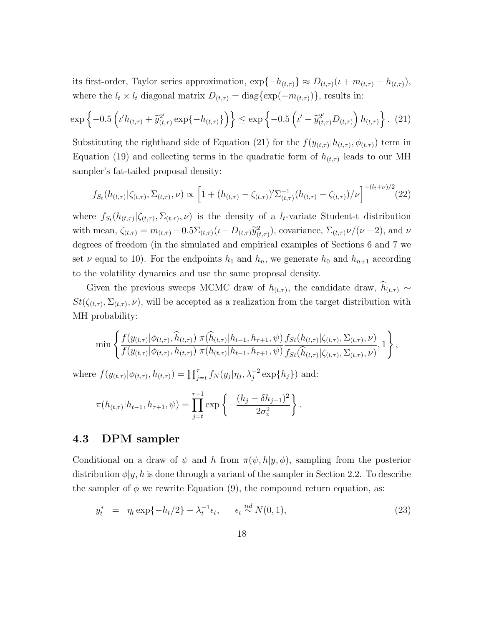its first-order, Taylor series approximation,  $\exp\{-h_{(t,\tau)}\}\approx D_{(t,\tau)}(\iota+m_{(t,\tau)}-h_{(t,\tau)}),$ where the  $l_t \times l_t$  diagonal matrix  $D_{(t,\tau)} = \text{diag}\{\exp(-m_{(t,\tau)})\}\,$  results in:

$$
\exp\left\{-0.5\left(\iota'h_{(t,\tau)}+\tilde{y}_{(t,\tau)}^{2'}\exp\{-h_{(t,\tau)}\}\right)\right\} \leq \exp\left\{-0.5\left(\iota'-\tilde{y}_{(t,\tau)}^{2'}D_{(t,\tau)}\right)h_{(t,\tau)}\right\}.
$$
 (21)

Substituting the righthand side of Equation (21) for the  $f(y_{(t,\tau)}|h_{(t,\tau)}, \phi_{(t,\tau)})$  term in Equation (19) and collecting terms in the quadratic form of  $h_{(t,\tau)}$  leads to our MH sampler's fat-tailed proposal density:

$$
f_{S_t}(h_{(t,\tau)}|\zeta_{(t,\tau)},\Sigma_{(t,\tau)},\nu) \propto \left[1 + (h_{(t,\tau)} - \zeta_{(t,\tau)})'\Sigma_{(t,\tau)}^{-1}(h_{(t,\tau)} - \zeta_{(t,\tau)})/\nu\right]^{-(l_t+\nu)/2}
$$
(22)

where  $f_{S_t}(h_{(t,\tau)}|\zeta_{(t,\tau)},\Sigma_{(t,\tau)},\nu)$  is the density of a  $l_t$ -variate Student-t distribution with mean,  $\zeta_{(t,\tau)} = m_{(t,\tau)} - 0.5\Sigma_{(t,\tau)}(\iota - D_{(t,\tau)}\tilde{y}_{(t,\tau)}^2)$ , covariance,  $\Sigma_{(t,\tau)}\nu/(\nu-2)$ , and  $\nu$ degrees of freedom (in the simulated and empirical examples of Sections 6 and 7 we set  $\nu$  equal to 10). For the endpoints  $h_1$  and  $h_n$ , we generate  $h_0$  and  $h_{n+1}$  according to the volatility dynamics and use the same proposal density.

Given the previous sweeps MCMC draw of  $h_{(t,\tau)}$ , the candidate draw,  $h_{(t,\tau)} \sim$  $St(\zeta_{(t,\tau)}, \Sigma_{(t,\tau)}, \nu)$ , will be accepted as a realization from the target distribution with MH probability:

$$
\min \left\{ \frac{f(y_{(t,\tau)} | \phi_{(t,\tau)}, \hat{h}_{(t,\tau)}) \pi(\hat{h}_{(t,\tau)} | h_{t-1}, h_{\tau+1}, \psi)}{f(y_{(t,\tau)} | \phi_{(t,\tau)}, h_{(t,\tau)}) \pi(h_{(t,\tau)} | h_{t-1}, h_{\tau+1}, \psi)} \frac{f_{St}(h_{(t,\tau)} | \zeta_{(t,\tau)}, \Sigma_{(t,\tau)}, \nu)}{f_{St}(\hat{h}_{(t,\tau)} | \zeta_{(t,\tau)}, \Sigma_{(t,\tau)}, \nu)}, 1 \right\},
$$

where  $f(y_{(t,\tau)}|\phi_{(t,\tau)}, h_{(t,\tau)}) = \prod_{j=t}^{\tau} f_N(y_j|\eta_j, \lambda_j^{-2} \exp\{h_j\})$  and:

$$
\pi(h_{(t,\tau)}|h_{t-1}, h_{\tau+1}, \psi) = \prod_{j=t}^{\tau+1} \exp \left\{-\frac{(h_j - \delta h_{j-1})^2}{2\sigma_v^2}\right\}.
$$

#### 4.3 DPM sampler

Conditional on a draw of  $\psi$  and h from  $\pi(\psi, h|y, \phi)$ , sampling from the posterior distribution  $\phi|y, h$  is done through a variant of the sampler in Section 2.2. To describe the sampler of  $\phi$  we rewrite Equation (9), the compound return equation, as:

$$
y_t^* = \eta_t \exp\{-h_t/2\} + \lambda_t^{-1} \epsilon_t, \quad \epsilon_t \stackrel{iid}{\sim} N(0, 1), \tag{23}
$$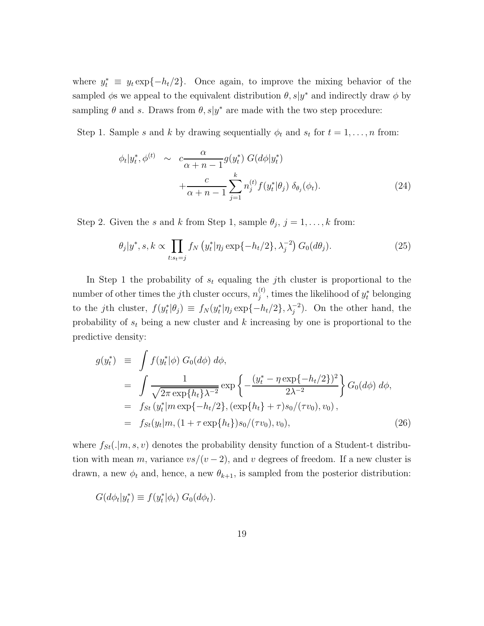where  $y_t^* \equiv y_t \exp\{-h_t/2\}$ . Once again, to improve the mixing behavior of the sampled  $\phi$ s we appeal to the equivalent distribution  $\theta$ ,  $s|y^*$  and indirectly draw  $\phi$  by sampling  $\theta$  and s. Draws from  $\theta$ , s|y<sup>\*</sup> are made with the two step procedure:

Step 1. Sample s and k by drawing sequentially  $\phi_t$  and  $s_t$  for  $t = 1, \ldots, n$  from:

$$
\phi_t|y_t^*, \phi^{(t)} \sim c \frac{\alpha}{\alpha + n - 1} g(y_t^*) G(d\phi|y_t^*)
$$
  
+ 
$$
\frac{c}{\alpha + n - 1} \sum_{j=1}^k n_j^{(t)} f(y_t^*|\theta_j) \delta_{\theta_j}(\phi_t).
$$
 (24)

Step 2. Given the s and k from Step 1, sample  $\theta_j$ ,  $j = 1, ..., k$  from:

$$
\theta_j|y^*, s, k \propto \prod_{t:s_t=j} f_N\left(y_t^*|\eta_j \exp\{-h_t/2\}, \lambda_j^{-2}\right) G_0(d\theta_j). \tag{25}
$$

In Step 1 the probability of  $s_t$  equaling the *j*th cluster is proportional to the number of other times the *j*th cluster occurs,  $n_i^{(t)}$  $j^{(t)}$ , times the likelihood of  $y_t^*$  belonging to the jth cluster,  $f(y_t^*|\theta_j) \equiv f_N(y_t^*|\eta_j \exp\{-h_t/2\}, \lambda_j^{-2})$ . On the other hand, the probability of  $s_t$  being a new cluster and k increasing by one is proportional to the predictive density:

$$
g(y_t^*) \equiv \int f(y_t^* | \phi) G_0(d\phi) d\phi,
$$
  
\n
$$
= \int \frac{1}{\sqrt{2\pi \exp\{h_t\}\lambda^{-2}}} \exp \left\{-\frac{(y_t^* - \eta \exp\{-h_t/2\})^2}{2\lambda^{-2}}\right\} G_0(d\phi) d\phi,
$$
  
\n
$$
= f_{St}(y_t^* | m \exp\{-h_t/2\}, (\exp\{h_t\} + \tau) s_0/(\tau v_0), v_0),
$$
  
\n
$$
= f_{St}(y_t | m, (1 + \tau \exp\{h_t\}) s_0/(\tau v_0), v_0),
$$
\n(26)

where  $f_{St}(.|m, s, v)$  denotes the probability density function of a Student-t distribution with mean m, variance  $\frac{vs}{(v-2)}$ , and v degrees of freedom. If a new cluster is drawn, a new  $\phi_t$  and, hence, a new  $\theta_{k+1}$ , is sampled from the posterior distribution:

$$
G(d\phi_t|y_t^*) \equiv f(y_t^*|\phi_t) G_0(d\phi_t).
$$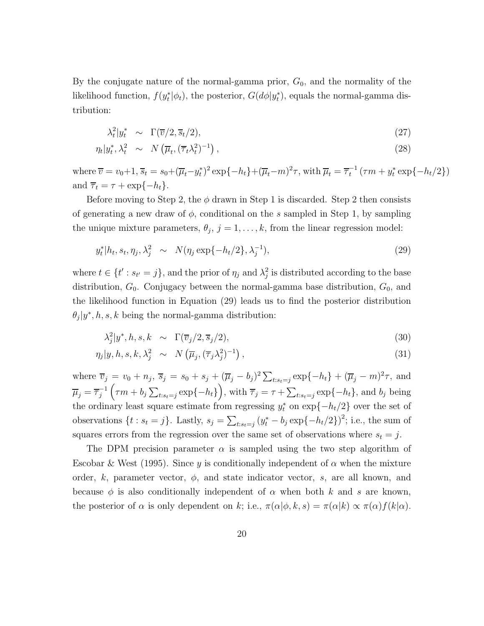By the conjugate nature of the normal-gamma prior,  $G_0$ , and the normality of the likelihood function,  $f(y_t^* | \phi_t)$ , the posterior,  $G(d\phi | y_t^*)$ , equals the normal-gamma distribution:

$$
\lambda_t^2 | y_t^* \sim \Gamma(\overline{v}/2, \overline{s}_t/2), \qquad (27)
$$

$$
\eta_t | y_t^*, \lambda_t^2 \sim N\left(\overline{\mu}_t, (\overline{\tau}_t \lambda_t^2)^{-1}\right), \tag{28}
$$

where  $\overline{v} = v_0 + 1$ ,  $\overline{s}_t = s_0 + (\overline{\mu}_t - y_t^*)^2 \exp\{-h_t\} + (\overline{\mu}_t - m)^2 \tau$ , with  $\overline{\mu}_t = \overline{\tau}_t^{-1} (\tau m + y_t^* \exp\{-h_t/2\})$ and  $\overline{\tau}_t = \tau + \exp\{-h_t\}.$ 

Before moving to Step 2, the  $\phi$  drawn in Step 1 is discarded. Step 2 then consists of generating a new draw of  $\phi$ , conditional on the s sampled in Step 1, by sampling the unique mixture parameters,  $\theta_j$ ,  $j = 1, \ldots, k$ , from the linear regression model:

$$
y_t^* | h_t, s_t, \eta_j, \lambda_j^2 \sim N(\eta_j \exp\{-h_t/2\}, \lambda_j^{-1}), \tag{29}
$$

where  $t \in \{t' : s_{t'} = j\}$ , and the prior of  $\eta_j$  and  $\lambda_j^2$  is distributed according to the base distribution,  $G_0$ . Conjugacy between the normal-gamma base distribution,  $G_0$ , and the likelihood function in Equation (29) leads us to find the posterior distribution  $\theta_j|y^*,h,s,k$  being the normal-gamma distribution:

$$
\lambda_j^2 | y^*, h, s, k \sim \Gamma(\overline{v}_j/2, \overline{s}_j/2), \qquad (30)
$$

$$
\eta_j|y, h, s, k, \lambda_j^2 \sim N\left(\overline{\mu}_j, (\overline{\tau}_j \lambda_j^2)^{-1}\right), \qquad (31)
$$

where  $\overline{v}_j = v_0 + n_j$ ,  $\overline{s}_j = s_0 + s_j + (\overline{\mu}_j - b_j)^2 \sum_{t:s_t=j} \exp\{-h_t\} + (\overline{\mu}_j - m)^2 \tau$ , and  $\overline{\mu}_j = \overline{\tau}_j^{-1}$ j  $(\tau m + b_j \sum_{t:s_t=j} \exp\{-h_t\})$ , with  $\overline{\tau}_j = \tau + \sum_{t:s_t=j} \exp\{-h_t\}$ , and  $b_j$  being the ordinary least square estimate from regressing  $y_t^*$  on  $\exp\{-h_t/2\}$  over the set of observations  $\{t : s_t = j\}$ . Lastly,  $s_j = \sum_{t:s_t=j} (y_t^* - b_j \exp\{-h_t/2\})^2$ ; i.e., the sum of squares errors from the regression over the same set of observations where  $s_t = j$ .

The DPM precision parameter  $\alpha$  is sampled using the two step algorithm of Escobar & West (1995). Since y is conditionally independent of  $\alpha$  when the mixture order, k, parameter vector,  $\phi$ , and state indicator vector, s, are all known, and because  $\phi$  is also conditionally independent of  $\alpha$  when both k and s are known, the posterior of  $\alpha$  is only dependent on k; i.e.,  $\pi(\alpha|\phi, k, s) = \pi(\alpha|k) \propto \pi(\alpha)f(k|\alpha)$ .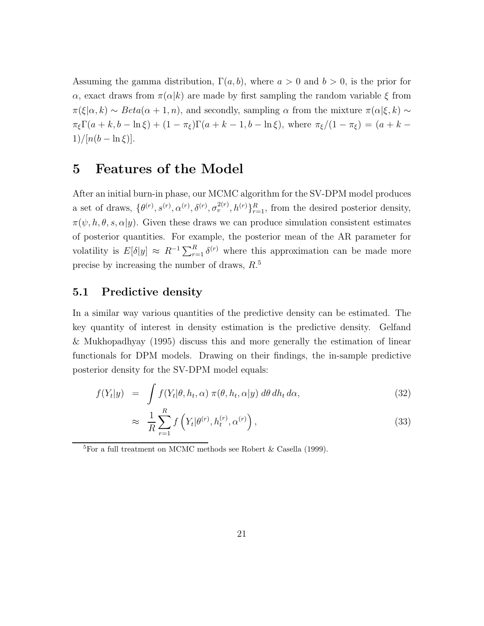Assuming the gamma distribution,  $\Gamma(a, b)$ , where  $a > 0$  and  $b > 0$ , is the prior for α, exact draws from  $\pi(\alpha|k)$  are made by first sampling the random variable ξ from  $\pi(\xi|\alpha, k) \sim Beta(\alpha+1, n)$ , and secondly, sampling  $\alpha$  from the mixture  $\pi(\alpha|\xi, k) \sim$  $\pi_{\xi} \Gamma(a+k, b-\ln \xi) + (1-\pi_{\xi})\Gamma(a+k-1, b-\ln \xi)$ , where  $\pi_{\xi}/(1-\pi_{\xi}) = (a+k-1, b-\ln \xi)$ 1)/ $[n(b - \ln \xi)].$ 

## 5 Features of the Model

After an initial burn-in phase, our MCMC algorithm for the SV-DPM model produces a set of draws,  $\{\theta^{(r)}, s^{(r)}, \alpha^{(r)}, \delta^{(r)}, \sigma_v^{2(r)}, h^{(r)}\}_{r=1}^R$ , from the desired posterior density,  $\pi(\psi, h, \theta, s, \alpha | y)$ . Given these draws we can produce simulation consistent estimates of posterior quantities. For example, the posterior mean of the AR parameter for volatility is  $E[\delta|y] \approx R^{-1} \sum_{r=1}^{R} \delta^{(r)}$  where this approximation can be made more precise by increasing the number of draws,  $R<sup>5</sup>$ 

## 5.1 Predictive density

In a similar way various quantities of the predictive density can be estimated. The key quantity of interest in density estimation is the predictive density. Gelfand & Mukhopadhyay (1995) discuss this and more generally the estimation of linear functionals for DPM models. Drawing on their findings, the in-sample predictive posterior density for the SV-DPM model equals:

$$
f(Y_t|y) = \int f(Y_t|\theta, h_t, \alpha) \pi(\theta, h_t, \alpha|y) d\theta dh_t d\alpha,
$$
\n(32)

$$
\approx \frac{1}{R} \sum_{r=1}^{R} f\left(Y_t | \theta^{(r)}, h_t^{(r)}, \alpha^{(r)}\right), \tag{33}
$$

 ${}^{5}$ For a full treatment on MCMC methods see Robert & Casella (1999).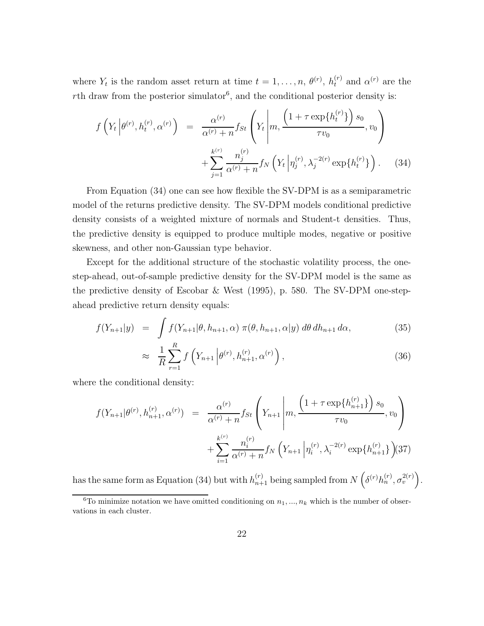where  $Y_t$  is the random asset return at time  $t = 1, \ldots, n, \theta^{(r)}$ ,  $h_t^{(r)}$  and  $\alpha^{(r)}$  are the  $r$ th draw from the posterior simulator<sup>6</sup>, and the conditional posterior density is:

$$
f\left(Y_t \left|\theta^{(r)}, h_t^{(r)}, \alpha^{(r)}\right\right) = \frac{\alpha^{(r)}}{\alpha^{(r)} + n} f_{St}\left(Y_t \left|m, \frac{\left(1 + \tau \exp\{h_t^{(r)}\}\right)s_0}{\tau v_0}, v_0\right) + \sum_{j=1}^{k^{(r)}} \frac{n_j^{(r)}}{\alpha^{(r)} + n} f_N\left(Y_t \left|\eta_j^{(r)}, \lambda_j^{-2(r)} \exp\{h_t^{(r)}\}\right.\right).
$$
 (34)

From Equation (34) one can see how flexible the SV-DPM is as a semiparametric model of the returns predictive density. The SV-DPM models conditional predictive density consists of a weighted mixture of normals and Student-t densities. Thus, the predictive density is equipped to produce multiple modes, negative or positive skewness, and other non-Gaussian type behavior.

Except for the additional structure of the stochastic volatility process, the onestep-ahead, out-of-sample predictive density for the SV-DPM model is the same as the predictive density of Escobar & West (1995), p. 580. The SV-DPM one-stepahead predictive return density equals:

$$
f(Y_{n+1}|y) = \int f(Y_{n+1}|\theta, h_{n+1}, \alpha) \pi(\theta, h_{n+1}, \alpha|y) d\theta dh_{n+1} d\alpha,
$$
 (35)

$$
\approx \frac{1}{R} \sum_{r=1}^{R} f\left(Y_{n+1} \left| \theta^{(r)}, h_{n+1}^{(r)}, \alpha^{(r)} \right. \right), \tag{36}
$$

where the conditional density:

$$
f(Y_{n+1}|\theta^{(r)}, h_{n+1}^{(r)}, \alpha^{(r)}) = \frac{\alpha^{(r)}}{\alpha^{(r)} + n} f_{St}\left(Y_{n+1}\left|m, \frac{\left(1 + \tau \exp\{h_{n+1}^{(r)}\}\right)s_0}{\tau v_0}, v_0\right) + \sum_{i=1}^{k^{(r)}} \frac{n_i^{(r)}}{\alpha^{(r)} + n} f_N\left(Y_{n+1}\left|\eta_i^{(r)}, \lambda_i^{-2(r)} \exp\{h_{n+1}^{(r)}\}\right)\right)
$$
(37)

has the same form as Equation (34) but with  $h_{n+1}^{(r)}$  being sampled from  $N\left(\delta^{(r)}h_n^{(r)}, \sigma_v^{2(r)}\right)$ .

<sup>&</sup>lt;sup>6</sup>To minimize notation we have omitted conditioning on  $n_1, ..., n_k$  which is the number of observations in each cluster.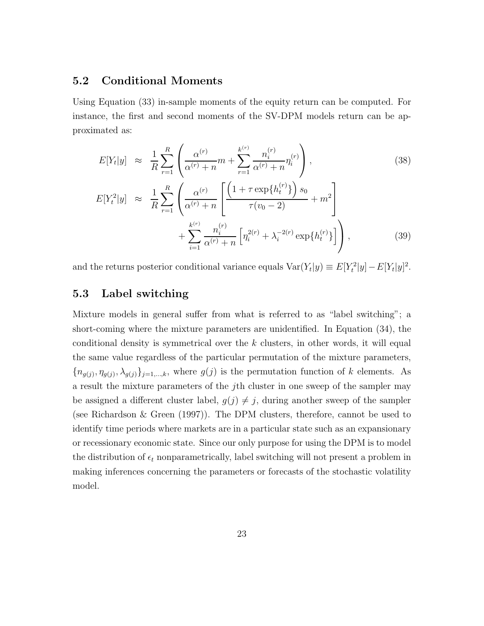#### 5.2 Conditional Moments

Using Equation (33) in-sample moments of the equity return can be computed. For instance, the first and second moments of the SV-DPM models return can be approximated as:

$$
E[Y_t|y] \approx \frac{1}{R} \sum_{r=1}^R \left( \frac{\alpha^{(r)}}{\alpha^{(r)} + n} m + \sum_{r=1}^{k^{(r)}} \frac{n_i^{(r)}}{\alpha^{(r)} + n} \eta_i^{(r)} \right),
$$
\n
$$
E[Y_t^2|y] \approx \frac{1}{R} \sum_{r=1}^R \left( \frac{\alpha^{(r)}}{\alpha^{(r)} + n} \left[ \frac{\left( 1 + \tau \exp\{h_t^{(r)}\} \right) s_0}{\tau(v_0 - 2)} + m^2 \right] + \sum_{i=1}^{k^{(r)}} \frac{n_i^{(r)}}{\alpha^{(r)} + n} \left[ \eta_i^{2(r)} + \lambda_i^{-2(r)} \exp\{h_t^{(r)}\} \right] \right),
$$
\n(39)

and the returns posterior conditional variance equals  $Var(Y_t|y) \equiv E[Y_t^2|y] - E[Y_t|y]^2$ .

## 5.3 Label switching

Mixture models in general suffer from what is referred to as "label switching"; a short-coming where the mixture parameters are unidentified. In Equation (34), the conditional density is symmetrical over the  $k$  clusters, in other words, it will equal the same value regardless of the particular permutation of the mixture parameters,  ${n_{g(j)}, \eta_{g(j)}, \lambda_{g(j)}\}_{j=1,\dots,k}$ , where  $g(j)$  is the permutation function of k elements. As a result the mixture parameters of the jth cluster in one sweep of the sampler may be assigned a different cluster label,  $g(j) \neq j$ , during another sweep of the sampler (see Richardson & Green (1997)). The DPM clusters, therefore, cannot be used to identify time periods where markets are in a particular state such as an expansionary or recessionary economic state. Since our only purpose for using the DPM is to model the distribution of  $\epsilon_t$  nonparametrically, label switching will not present a problem in making inferences concerning the parameters or forecasts of the stochastic volatility model.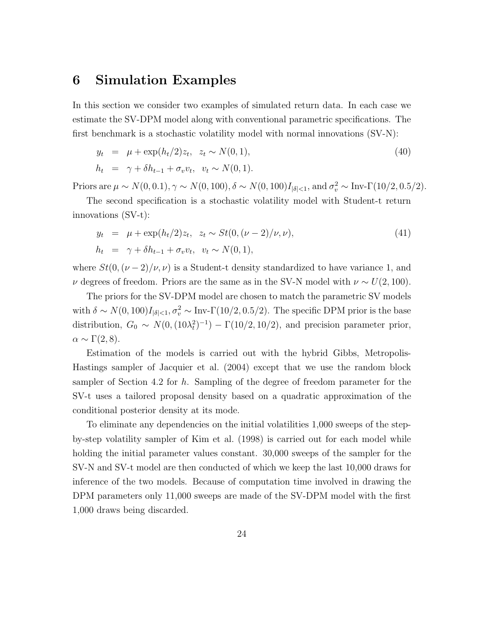## 6 Simulation Examples

In this section we consider two examples of simulated return data. In each case we estimate the SV-DPM model along with conventional parametric specifications. The first benchmark is a stochastic volatility model with normal innovations (SV-N):

$$
y_t = \mu + \exp(h_t/2)z_t, \ z_t \sim N(0, 1),
$$
  
\n
$$
h_t = \gamma + \delta h_{t-1} + \sigma_v v_t, \ v_t \sim N(0, 1).
$$
\n(40)

Priors are  $\mu \sim N(0, 0.1), \gamma \sim N(0, 100), \delta \sim N(0, 100)I_{|\delta| < 1}$ , and  $\sigma_v^2 \sim \text{Inv-}\Gamma(10/2, 0.5/2)$ .

The second specification is a stochastic volatility model with Student-t return innovations (SV-t):

$$
y_t = \mu + \exp(h_t/2)z_t, \ z_t \sim St(0, (\nu - 2)/\nu, \nu),
$$
  
\n
$$
h_t = \gamma + \delta h_{t-1} + \sigma_v v_t, \ v_t \sim N(0, 1),
$$
\n(41)

where  $St(0, (\nu - 2)/\nu, \nu)$  is a Student-t density standardized to have variance 1, and  $ν$  degrees of freedom. Priors are the same as in the SV-N model with  $ν ∼ U(2, 100)$ .

The priors for the SV-DPM model are chosen to match the parametric SV models with  $\delta \sim N(0, 100)I_{|\delta| < 1}, \sigma_v^2 \sim \text{Inv-}\Gamma(10/2, 0.5/2)$ . The specific DPM prior is the base distribution,  $G_0 \sim N(0, (10\lambda_t^2)^{-1}) - \Gamma(10/2, 10/2)$ , and precision parameter prior,  $\alpha \sim \Gamma(2,8).$ 

Estimation of the models is carried out with the hybrid Gibbs, Metropolis-Hastings sampler of Jacquier et al. (2004) except that we use the random block sampler of Section 4.2 for h. Sampling of the degree of freedom parameter for the SV-t uses a tailored proposal density based on a quadratic approximation of the conditional posterior density at its mode.

To eliminate any dependencies on the initial volatilities 1,000 sweeps of the stepby-step volatility sampler of Kim et al. (1998) is carried out for each model while holding the initial parameter values constant. 30,000 sweeps of the sampler for the SV-N and SV-t model are then conducted of which we keep the last 10,000 draws for inference of the two models. Because of computation time involved in drawing the DPM parameters only 11,000 sweeps are made of the SV-DPM model with the first 1,000 draws being discarded.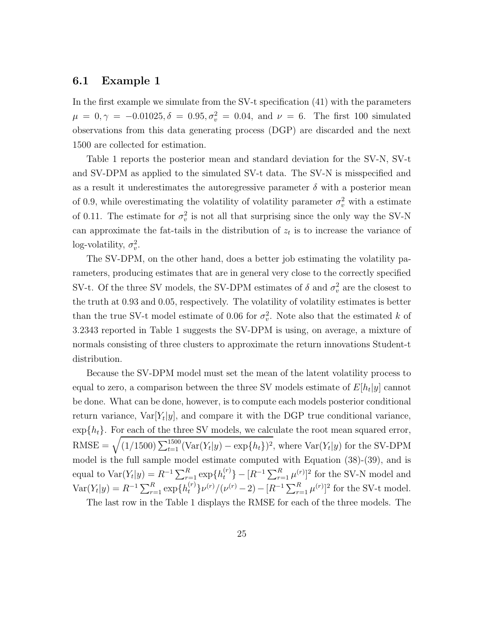#### 6.1 Example 1

In the first example we simulate from the SV-t specification (41) with the parameters  $\mu = 0, \gamma = -0.01025, \delta = 0.95, \sigma_v^2 = 0.04, \text{ and } \nu = 6.$  The first 100 simulated observations from this data generating process (DGP) are discarded and the next 1500 are collected for estimation.

Table 1 reports the posterior mean and standard deviation for the SV-N, SV-t and SV-DPM as applied to the simulated SV-t data. The SV-N is misspecified and as a result it underestimates the autoregressive parameter  $\delta$  with a posterior mean of 0.9, while overestimating the volatility of volatility parameter  $\sigma_v^2$  with a estimate of 0.11. The estimate for  $\sigma_v^2$  is not all that surprising since the only way the SV-N can approximate the fat-tails in the distribution of  $z_t$  is to increase the variance of log-volatility,  $\sigma_v^2$ .

The SV-DPM, on the other hand, does a better job estimating the volatility parameters, producing estimates that are in general very close to the correctly specified SV-t. Of the three SV models, the SV-DPM estimates of  $\delta$  and  $\sigma_v^2$  are the closest to the truth at 0.93 and 0.05, respectively. The volatility of volatility estimates is better than the true SV-t model estimate of 0.06 for  $\sigma_v^2$ . Note also that the estimated k of 3.2343 reported in Table 1 suggests the SV-DPM is using, on average, a mixture of normals consisting of three clusters to approximate the return innovations Student-t distribution.

Because the SV-DPM model must set the mean of the latent volatility process to equal to zero, a comparison between the three SV models estimate of  $E[h_t|y]$  cannot be done. What can be done, however, is to compute each models posterior conditional return variance,  $Var[Y_t|y]$ , and compare it with the DGP true conditional variance,  $\exp\{h_t\}$ . For each of the three SV models, we calculate the root mean squared error,  $RMSE = \sqrt{(1/1500) \sum_{t=1}^{1500} (Var(Y_t|y) - exp\{h_t\})^2}$ , where  $Var(Y_t|y)$  for the SV-DPM model is the full sample model estimate computed with Equation (38)-(39), and is equal to  $\text{Var}(Y_t|y) = R^{-1} \sum_{r=1}^R \exp\{h_t^{(r)}\} - [R^{-1} \sum_{r=1}^R \mu^{(r)}]^2$  for the SV-N model and  $\text{Var}(Y_t|y) = R^{-1} \sum_{r=1}^R \exp\{h_t^{(r)}\} \nu^{(r)} / (\nu^{(r)} - 2) - [R^{-1} \sum_{r=1}^R \mu^{(r)}]^2$  for the SV-t model.

The last row in the Table 1 displays the RMSE for each of the three models. The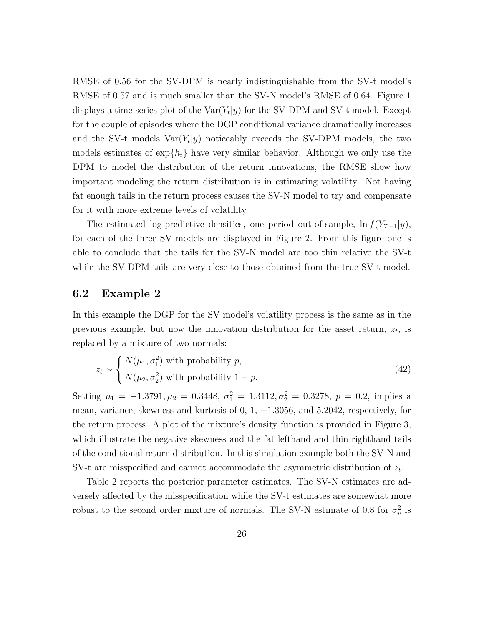RMSE of 0.56 for the SV-DPM is nearly indistinguishable from the SV-t model's RMSE of 0.57 and is much smaller than the SV-N model's RMSE of 0.64. Figure 1 displays a time-series plot of the  $\text{Var}(Y_t|y)$  for the SV-DPM and SV-t model. Except for the couple of episodes where the DGP conditional variance dramatically increases and the SV-t models  $Var(Y_t|y)$  noticeably exceeds the SV-DPM models, the two models estimates of  $\exp\{h_t\}$  have very similar behavior. Although we only use the DPM to model the distribution of the return innovations, the RMSE show how important modeling the return distribution is in estimating volatility. Not having fat enough tails in the return process causes the SV-N model to try and compensate for it with more extreme levels of volatility.

The estimated log-predictive densities, one period out-of-sample,  $\ln f(Y_{T+1}|y)$ , for each of the three SV models are displayed in Figure 2. From this figure one is able to conclude that the tails for the SV-N model are too thin relative the SV-t while the SV-DPM tails are very close to those obtained from the true SV-t model.

#### 6.2 Example 2

In this example the DGP for the SV model's volatility process is the same as in the previous example, but now the innovation distribution for the asset return,  $z_t$ , is replaced by a mixture of two normals:

$$
z_t \sim \begin{cases} N(\mu_1, \sigma_1^2) \text{ with probability } p, \\ N(\mu_2, \sigma_2^2) \text{ with probability } 1 - p. \end{cases}
$$
 (42)

Setting  $\mu_1 = -1.3791, \mu_2 = 0.3448, \sigma_1^2 = 1.3112, \sigma_2^2 = 0.3278, p = 0.2$ , implies a mean, variance, skewness and kurtosis of 0, 1, −1.3056, and 5.2042, respectively, for the return process. A plot of the mixture's density function is provided in Figure 3, which illustrate the negative skewness and the fat lefthand and thin righthand tails of the conditional return distribution. In this simulation example both the SV-N and SV-t are misspecified and cannot accommodate the asymmetric distribution of  $z_t$ .

Table 2 reports the posterior parameter estimates. The SV-N estimates are adversely affected by the misspecification while the SV-t estimates are somewhat more robust to the second order mixture of normals. The SV-N estimate of 0.8 for  $\sigma_v^2$  is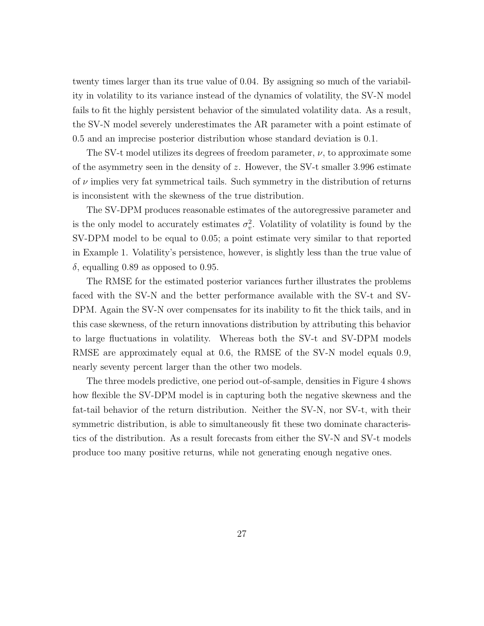twenty times larger than its true value of 0.04. By assigning so much of the variability in volatility to its variance instead of the dynamics of volatility, the SV-N model fails to fit the highly persistent behavior of the simulated volatility data. As a result, the SV-N model severely underestimates the AR parameter with a point estimate of 0.5 and an imprecise posterior distribution whose standard deviation is 0.1.

The SV-t model utilizes its degrees of freedom parameter,  $\nu$ , to approximate some of the asymmetry seen in the density of  $z$ . However, the SV-t smaller 3.996 estimate of  $\nu$  implies very fat symmetrical tails. Such symmetry in the distribution of returns is inconsistent with the skewness of the true distribution.

The SV-DPM produces reasonable estimates of the autoregressive parameter and is the only model to accurately estimates  $\sigma_v^2$ . Volatility of volatility is found by the SV-DPM model to be equal to 0.05; a point estimate very similar to that reported in Example 1. Volatility's persistence, however, is slightly less than the true value of  $\delta$ , equalling 0.89 as opposed to 0.95.

The RMSE for the estimated posterior variances further illustrates the problems faced with the SV-N and the better performance available with the SV-t and SV-DPM. Again the SV-N over compensates for its inability to fit the thick tails, and in this case skewness, of the return innovations distribution by attributing this behavior to large fluctuations in volatility. Whereas both the SV-t and SV-DPM models RMSE are approximately equal at 0.6, the RMSE of the SV-N model equals 0.9, nearly seventy percent larger than the other two models.

The three models predictive, one period out-of-sample, densities in Figure 4 shows how flexible the SV-DPM model is in capturing both the negative skewness and the fat-tail behavior of the return distribution. Neither the SV-N, nor SV-t, with their symmetric distribution, is able to simultaneously fit these two dominate characteristics of the distribution. As a result forecasts from either the SV-N and SV-t models produce too many positive returns, while not generating enough negative ones.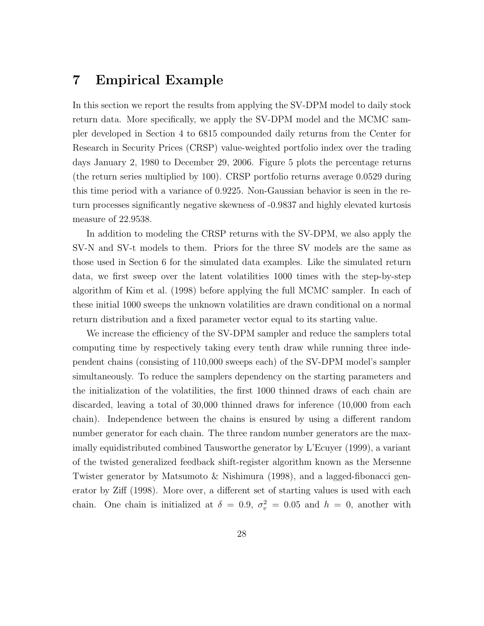## 7 Empirical Example

In this section we report the results from applying the SV-DPM model to daily stock return data. More specifically, we apply the SV-DPM model and the MCMC sampler developed in Section 4 to 6815 compounded daily returns from the Center for Research in Security Prices (CRSP) value-weighted portfolio index over the trading days January 2, 1980 to December 29, 2006. Figure 5 plots the percentage returns (the return series multiplied by 100). CRSP portfolio returns average 0.0529 during this time period with a variance of 0.9225. Non-Gaussian behavior is seen in the return processes significantly negative skewness of -0.9837 and highly elevated kurtosis measure of 22.9538.

In addition to modeling the CRSP returns with the SV-DPM, we also apply the SV-N and SV-t models to them. Priors for the three SV models are the same as those used in Section 6 for the simulated data examples. Like the simulated return data, we first sweep over the latent volatilities 1000 times with the step-by-step algorithm of Kim et al. (1998) before applying the full MCMC sampler. In each of these initial 1000 sweeps the unknown volatilities are drawn conditional on a normal return distribution and a fixed parameter vector equal to its starting value.

We increase the efficiency of the SV-DPM sampler and reduce the samplers total computing time by respectively taking every tenth draw while running three independent chains (consisting of 110,000 sweeps each) of the SV-DPM model's sampler simultaneously. To reduce the samplers dependency on the starting parameters and the initialization of the volatilities, the first 1000 thinned draws of each chain are discarded, leaving a total of 30,000 thinned draws for inference (10,000 from each chain). Independence between the chains is ensured by using a different random number generator for each chain. The three random number generators are the maximally equidistributed combined Tausworthe generator by L'Ecuyer (1999), a variant of the twisted generalized feedback shift-register algorithm known as the Mersenne Twister generator by Matsumoto & Nishimura (1998), and a lagged-fibonacci generator by Ziff (1998). More over, a different set of starting values is used with each chain. One chain is initialized at  $\delta = 0.9, \sigma_v^2 = 0.05$  and  $h = 0$ , another with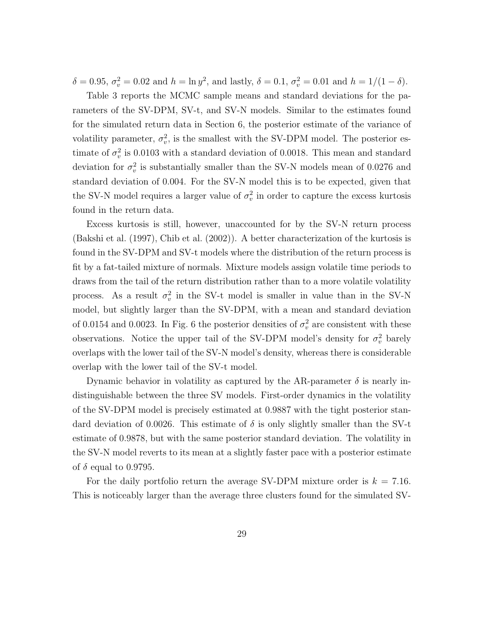$\delta = 0.95, \sigma_v^2 = 0.02$  and  $h = \ln y^2$ , and lastly,  $\delta = 0.1, \sigma_v^2 = 0.01$  and  $h = 1/(1 - \delta)$ .

Table 3 reports the MCMC sample means and standard deviations for the parameters of the SV-DPM, SV-t, and SV-N models. Similar to the estimates found for the simulated return data in Section 6, the posterior estimate of the variance of volatility parameter,  $\sigma_v^2$ , is the smallest with the SV-DPM model. The posterior estimate of  $\sigma_v^2$  is 0.0103 with a standard deviation of 0.0018. This mean and standard deviation for  $\sigma_v^2$  is substantially smaller than the SV-N models mean of 0.0276 and standard deviation of 0.004. For the SV-N model this is to be expected, given that the SV-N model requires a larger value of  $\sigma_v^2$  in order to capture the excess kurtosis found in the return data.

Excess kurtosis is still, however, unaccounted for by the SV-N return process (Bakshi et al. (1997), Chib et al. (2002)). A better characterization of the kurtosis is found in the SV-DPM and SV-t models where the distribution of the return process is fit by a fat-tailed mixture of normals. Mixture models assign volatile time periods to draws from the tail of the return distribution rather than to a more volatile volatility process. As a result  $\sigma_v^2$  in the SV-t model is smaller in value than in the SV-N model, but slightly larger than the SV-DPM, with a mean and standard deviation of 0.0154 and 0.0023. In Fig. 6 the posterior densities of  $\sigma_v^2$  are consistent with these observations. Notice the upper tail of the SV-DPM model's density for  $\sigma_v^2$  barely overlaps with the lower tail of the SV-N model's density, whereas there is considerable overlap with the lower tail of the SV-t model.

Dynamic behavior in volatility as captured by the AR-parameter  $\delta$  is nearly indistinguishable between the three SV models. First-order dynamics in the volatility of the SV-DPM model is precisely estimated at 0.9887 with the tight posterior standard deviation of 0.0026. This estimate of  $\delta$  is only slightly smaller than the SV-t estimate of 0.9878, but with the same posterior standard deviation. The volatility in the SV-N model reverts to its mean at a slightly faster pace with a posterior estimate of  $\delta$  equal to 0.9795.

For the daily portfolio return the average SV-DPM mixture order is  $k = 7.16$ . This is noticeably larger than the average three clusters found for the simulated SV-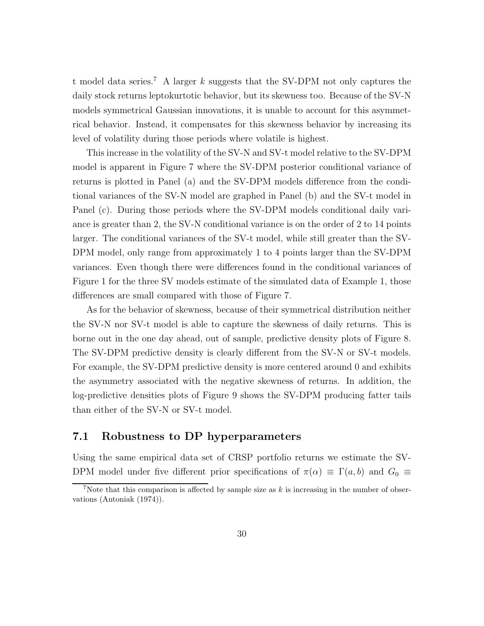t model data series.<sup>7</sup> A larger k suggests that the SV-DPM not only captures the daily stock returns leptokurtotic behavior, but its skewness too. Because of the SV-N models symmetrical Gaussian innovations, it is unable to account for this asymmetrical behavior. Instead, it compensates for this skewness behavior by increasing its level of volatility during those periods where volatile is highest.

This increase in the volatility of the SV-N and SV-t model relative to the SV-DPM model is apparent in Figure 7 where the SV-DPM posterior conditional variance of returns is plotted in Panel (a) and the SV-DPM models difference from the conditional variances of the SV-N model are graphed in Panel (b) and the SV-t model in Panel (c). During those periods where the SV-DPM models conditional daily variance is greater than 2, the SV-N conditional variance is on the order of 2 to 14 points larger. The conditional variances of the SV-t model, while still greater than the SV-DPM model, only range from approximately 1 to 4 points larger than the SV-DPM variances. Even though there were differences found in the conditional variances of Figure 1 for the three SV models estimate of the simulated data of Example 1, those differences are small compared with those of Figure 7.

As for the behavior of skewness, because of their symmetrical distribution neither the SV-N nor SV-t model is able to capture the skewness of daily returns. This is borne out in the one day ahead, out of sample, predictive density plots of Figure 8. The SV-DPM predictive density is clearly different from the SV-N or SV-t models. For example, the SV-DPM predictive density is more centered around 0 and exhibits the asymmetry associated with the negative skewness of returns. In addition, the log-predictive densities plots of Figure 9 shows the SV-DPM producing fatter tails than either of the SV-N or SV-t model.

#### 7.1 Robustness to DP hyperparameters

Using the same empirical data set of CRSP portfolio returns we estimate the SV-DPM model under five different prior specifications of  $\pi(\alpha) \equiv \Gamma(a, b)$  and  $G_0 \equiv$ 

<sup>&</sup>lt;sup>7</sup>Note that this comparison is affected by sample size as  $k$  is increasing in the number of observations (Antoniak (1974)).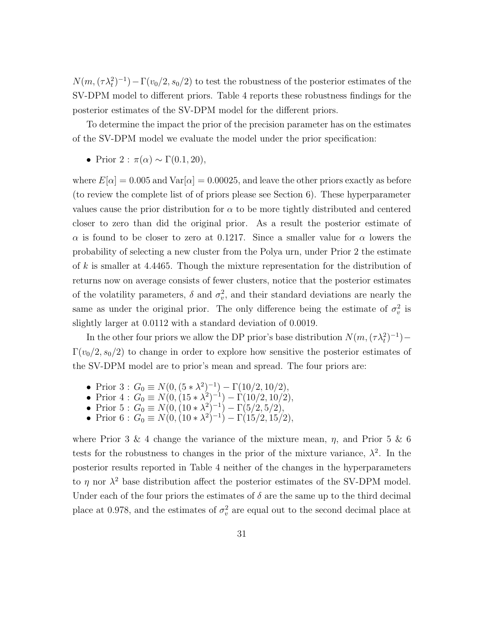$N(m,(\tau \lambda_t^2)^{-1}) - \Gamma(v_0/2, s_0/2)$  to test the robustness of the posterior estimates of the SV-DPM model to different priors. Table 4 reports these robustness findings for the posterior estimates of the SV-DPM model for the different priors.

To determine the impact the prior of the precision parameter has on the estimates of the SV-DPM model we evaluate the model under the prior specification:

• Prior 2 :  $\pi(\alpha) \sim \Gamma(0.1, 20)$ ,

where  $E[\alpha] = 0.005$  and  $Var[\alpha] = 0.00025$ , and leave the other priors exactly as before (to review the complete list of of priors please see Section 6). These hyperparameter values cause the prior distribution for  $\alpha$  to be more tightly distributed and centered closer to zero than did the original prior. As a result the posterior estimate of  $\alpha$  is found to be closer to zero at 0.1217. Since a smaller value for  $\alpha$  lowers the probability of selecting a new cluster from the Polya urn, under Prior 2 the estimate of  $k$  is smaller at 4.4465. Though the mixture representation for the distribution of returns now on average consists of fewer clusters, notice that the posterior estimates of the volatility parameters,  $\delta$  and  $\sigma_v^2$ , and their standard deviations are nearly the same as under the original prior. The only difference being the estimate of  $\sigma_v^2$  is slightly larger at 0.0112 with a standard deviation of 0.0019.

In the other four priors we allow the DP prior's base distribution  $N(m, (\tau \lambda_t^2)^{-1})$  –  $\Gamma(v_0/2, s_0/2)$  to change in order to explore how sensitive the posterior estimates of the SV-DPM model are to prior's mean and spread. The four priors are:

- Prior 3:  $G_0 \equiv N(0, (5*\lambda^2)^{-1}) \Gamma(10/2, 10/2),$
- Prior  $4: G_0 \equiv N(0, (15*\lambda^2)^{-1}) \Gamma(10/2, 10/2),$
- Prior  $5: G_0 \equiv N(0, (10*\lambda^2)^{-1}) \Gamma(5/2, 5/2),$
- Prior  $6: G_0 \equiv N(0, (10 * \lambda^2)^{-1}) \Gamma(15/2, 15/2),$

where Prior 3 & 4 change the variance of the mixture mean,  $\eta$ , and Prior 5 & 6 tests for the robustness to changes in the prior of the mixture variance,  $\lambda^2$ . In the posterior results reported in Table 4 neither of the changes in the hyperparameters to  $\eta$  nor  $\lambda^2$  base distribution affect the posterior estimates of the SV-DPM model. Under each of the four priors the estimates of  $\delta$  are the same up to the third decimal place at 0.978, and the estimates of  $\sigma_v^2$  are equal out to the second decimal place at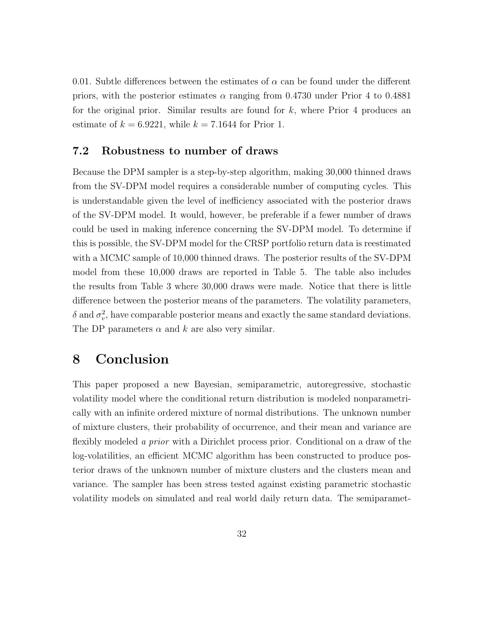0.01. Subtle differences between the estimates of  $\alpha$  can be found under the different priors, with the posterior estimates  $\alpha$  ranging from 0.4730 under Prior 4 to 0.4881 for the original prior. Similar results are found for  $k$ , where Prior 4 produces an estimate of  $k = 6.9221$ , while  $k = 7.1644$  for Prior 1.

#### 7.2 Robustness to number of draws

Because the DPM sampler is a step-by-step algorithm, making 30,000 thinned draws from the SV-DPM model requires a considerable number of computing cycles. This is understandable given the level of inefficiency associated with the posterior draws of the SV-DPM model. It would, however, be preferable if a fewer number of draws could be used in making inference concerning the SV-DPM model. To determine if this is possible, the SV-DPM model for the CRSP portfolio return data is reestimated with a MCMC sample of 10,000 thinned draws. The posterior results of the SV-DPM model from these 10,000 draws are reported in Table 5. The table also includes the results from Table 3 where 30,000 draws were made. Notice that there is little difference between the posterior means of the parameters. The volatility parameters,  $\delta$  and  $\sigma_v^2$ , have comparable posterior means and exactly the same standard deviations. The DP parameters  $\alpha$  and k are also very similar.

## 8 Conclusion

This paper proposed a new Bayesian, semiparametric, autoregressive, stochastic volatility model where the conditional return distribution is modeled nonparametrically with an infinite ordered mixture of normal distributions. The unknown number of mixture clusters, their probability of occurrence, and their mean and variance are flexibly modeled a prior with a Dirichlet process prior. Conditional on a draw of the log-volatilities, an efficient MCMC algorithm has been constructed to produce posterior draws of the unknown number of mixture clusters and the clusters mean and variance. The sampler has been stress tested against existing parametric stochastic volatility models on simulated and real world daily return data. The semiparamet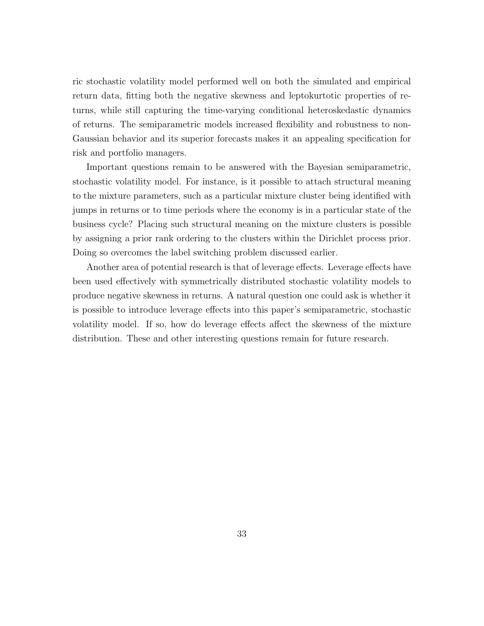ric stochastic volatility model performed well on both the simulated and empirical return data, fitting both the negative skewness and leptokurtotic properties of returns, while still capturing the time-varying conditional heteroskedastic dynamics of returns. The semiparametric models increased flexibility and robustness to non-Gaussian behavior and its superior forecasts makes it an appealing specification for risk and portfolio managers.

Important questions remain to be answered with the Bayesian semiparametric, stochastic volatility model. For instance, is it possible to attach structural meaning to the mixture parameters, such as a particular mixture cluster being identified with jumps in returns or to time periods where the economy is in a particular state of the business cycle? Placing such structural meaning on the mixture clusters is possible by assigning a prior rank ordering to the clusters within the Dirichlet process prior. Doing so overcomes the label switching problem discussed earlier.

Another area of potential research is that of leverage effects. Leverage effects have been used effectively with symmetrically distributed stochastic volatility models to produce negative skewness in returns. A natural question one could ask is whether it is possible to introduce leverage effects into this paper's semiparametric, stochastic volatility model. If so, how do leverage effects affect the skewness of the mixture distribution. These and other interesting questions remain for future research.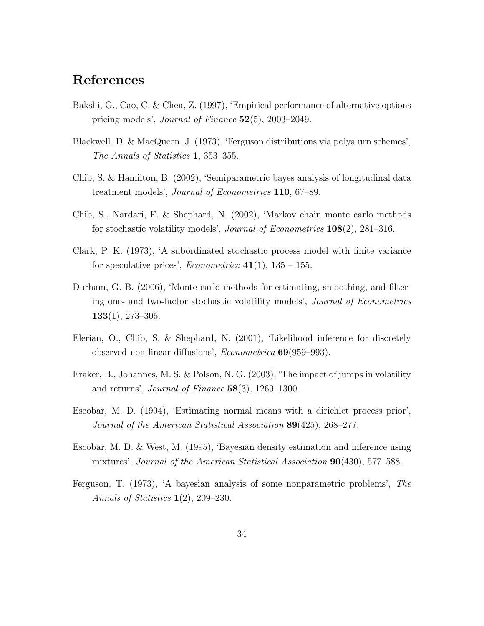## References

- Bakshi, G., Cao, C. & Chen, Z. (1997), 'Empirical performance of alternative options pricing models', Journal of Finance 52(5), 2003–2049.
- Blackwell, D. & MacQueen, J. (1973), 'Ferguson distributions via polya urn schemes', The Annals of Statistics 1, 353–355.
- Chib, S. & Hamilton, B. (2002), 'Semiparametric bayes analysis of longitudinal data treatment models', Journal of Econometrics 110, 67–89.
- Chib, S., Nardari, F. & Shephard, N. (2002), 'Markov chain monte carlo methods for stochastic volatility models', Journal of Econometrics 108(2), 281–316.
- Clark, P. K. (1973), 'A subordinated stochastic process model with finite variance for speculative prices', *Econometrica* 41(1),  $135 - 155$ .
- Durham, G. B. (2006), 'Monte carlo methods for estimating, smoothing, and filtering one- and two-factor stochastic volatility models', Journal of Econometrics  $133(1), 273-305.$
- Elerian, O., Chib, S. & Shephard, N. (2001), 'Likelihood inference for discretely observed non-linear diffusions', Econometrica 69(959–993).
- Eraker, B., Johannes, M. S. & Polson, N. G. (2003), 'The impact of jumps in volatility and returns', *Journal of Finance*  $58(3)$ , 1269–1300.
- Escobar, M. D. (1994), 'Estimating normal means with a dirichlet process prior', Journal of the American Statistical Association 89(425), 268–277.
- Escobar, M. D. & West, M. (1995), 'Bayesian density estimation and inference using mixtures', Journal of the American Statistical Association 90(430), 577–588.
- Ferguson, T. (1973), 'A bayesian analysis of some nonparametric problems', The Annals of Statistics 1(2), 209–230.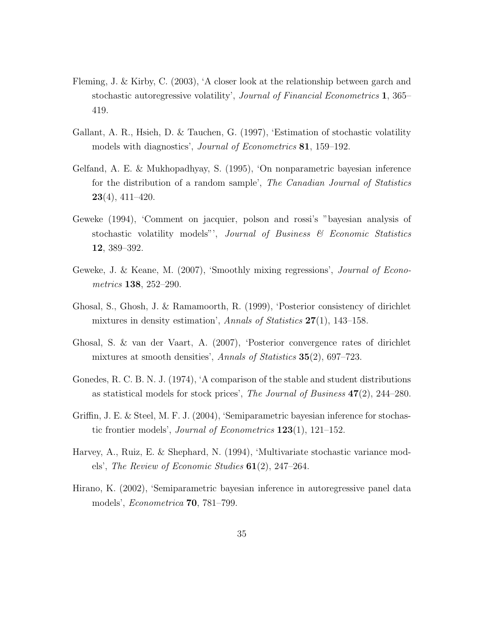- Fleming, J. & Kirby, C. (2003), 'A closer look at the relationship between garch and stochastic autoregressive volatility', Journal of Financial Econometrics 1, 365– 419.
- Gallant, A. R., Hsieh, D. & Tauchen, G. (1997), 'Estimation of stochastic volatility models with diagnostics', *Journal of Econometrics* 81, 159–192.
- Gelfand, A. E. & Mukhopadhyay, S. (1995), 'On nonparametric bayesian inference for the distribution of a random sample', The Canadian Journal of Statistics  $23(4)$ , 411–420.
- Geweke (1994), 'Comment on jacquier, polson and rossi's "bayesian analysis of stochastic volatility models"', Journal of Business & Economic Statistics 12, 389–392.
- Geweke, J. & Keane, M. (2007), 'Smoothly mixing regressions', Journal of Econometrics 138, 252–290.
- Ghosal, S., Ghosh, J. & Ramamoorth, R. (1999), 'Posterior consistency of dirichlet mixtures in density estimation', Annals of Statistics  $27(1)$ , 143–158.
- Ghosal, S. & van der Vaart, A. (2007), 'Posterior convergence rates of dirichlet mixtures at smooth densities', Annals of Statistics 35(2), 697–723.
- Gonedes, R. C. B. N. J. (1974), 'A comparison of the stable and student distributions as statistical models for stock prices', The Journal of Business  $47(2)$ , 244–280.
- Griffin, J. E. & Steel, M. F. J. (2004), 'Semiparametric bayesian inference for stochastic frontier models', *Journal of Econometrics*  $123(1)$ ,  $121-152$ .
- Harvey, A., Ruiz, E. & Shephard, N. (1994), 'Multivariate stochastic variance models', The Review of Economic Studies  $61(2)$ , 247–264.
- Hirano, K. (2002), 'Semiparametric bayesian inference in autoregressive panel data models', Econometrica 70, 781–799.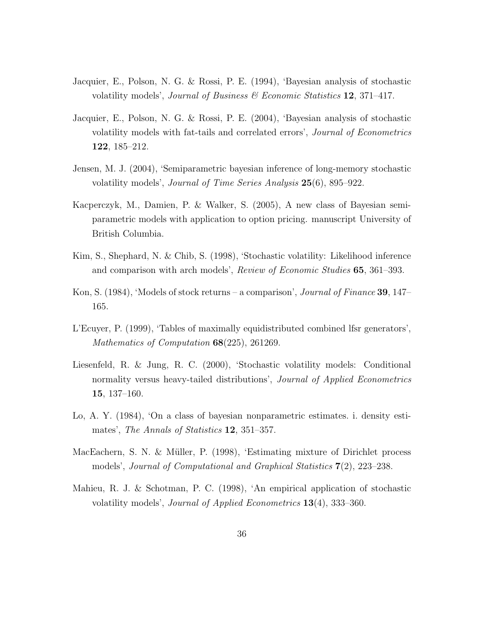- Jacquier, E., Polson, N. G. & Rossi, P. E. (1994), 'Bayesian analysis of stochastic volatility models', Journal of Business & Economic Statistics  $12$ , 371–417.
- Jacquier, E., Polson, N. G. & Rossi, P. E. (2004), 'Bayesian analysis of stochastic volatility models with fat-tails and correlated errors', Journal of Econometrics 122, 185–212.
- Jensen, M. J. (2004), 'Semiparametric bayesian inference of long-memory stochastic volatility models', Journal of Time Series Analysis 25(6), 895–922.
- Kacperczyk, M., Damien, P. & Walker, S. (2005), A new class of Bayesian semiparametric models with application to option pricing. manuscript University of British Columbia.
- Kim, S., Shephard, N. & Chib, S. (1998), 'Stochastic volatility: Likelihood inference and comparison with arch models', Review of Economic Studies 65, 361–393.
- Kon, S. (1984), 'Models of stock returns a comparison', *Journal of Finance* 39, 147– 165.
- L'Ecuyer, P. (1999), 'Tables of maximally equidistributed combined lfsr generators', Mathematics of Computation **68**(225), 261269.
- Liesenfeld, R. & Jung, R. C. (2000), 'Stochastic volatility models: Conditional normality versus heavy-tailed distributions', *Journal of Applied Econometrics* 15, 137–160.
- Lo, A. Y. (1984), 'On a class of bayesian nonparametric estimates. i. density estimates', The Annals of Statistics **12**, 351–357.
- MacEachern, S. N. & Müller, P. (1998), 'Estimating mixture of Dirichlet process models', Journal of Computational and Graphical Statistics 7(2), 223–238.
- Mahieu, R. J. & Schotman, P. C. (1998), 'An empirical application of stochastic volatility models', Journal of Applied Econometrics 13(4), 333–360.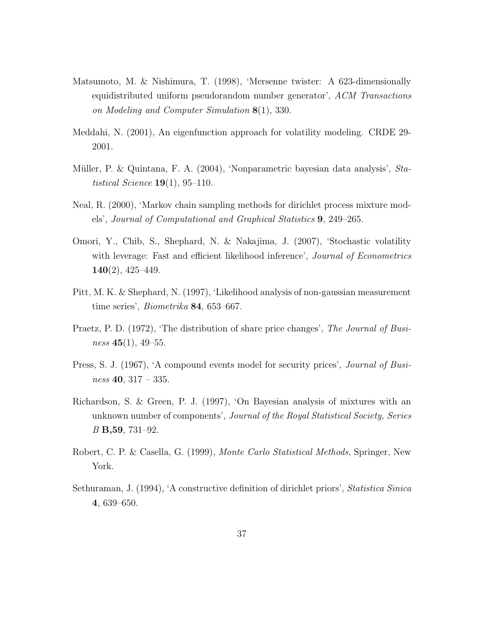- Matsumoto, M. & Nishimura, T. (1998), 'Mersenne twister: A 623-dimensionally equidistributed uniform pseudorandom number generator', ACM Transactions on Modeling and Computer Simulation 8(1), 330.
- Meddahi, N. (2001), An eigenfunction approach for volatility modeling. CRDE 29- 2001.
- Müller, P. & Quintana, F. A. (2004), 'Nonparametric bayesian data analysis', Statistical Science  $19(1)$ , 95-110.
- Neal, R. (2000), 'Markov chain sampling methods for dirichlet process mixture models', Journal of Computational and Graphical Statistics 9, 249–265.
- Omori, Y., Chib, S., Shephard, N. & Nakajima, J. (2007), 'Stochastic volatility with leverage: Fast and efficient likelihood inference', *Journal of Econometrics*  $140(2)$ ,  $425-449$ .
- Pitt, M. K. & Shephard, N. (1997), 'Likelihood analysis of non-gaussian measurement time series', Biometrika 84, 653–667.
- Praetz, P. D. (1972), 'The distribution of share price changes', The Journal of Business  $45(1)$ ,  $49-55$ .
- Press, S. J. (1967), 'A compound events model for security prices', *Journal of Busi* $ness$  40, 317 – 335.
- Richardson, S. & Green, P. J. (1997), 'On Bayesian analysis of mixtures with an unknown number of components', Journal of the Royal Statistical Society, Series B B,59, 731–92.
- Robert, C. P. & Casella, G. (1999), Monte Carlo Statistical Methods, Springer, New York.
- Sethuraman, J. (1994), 'A constructive definition of dirichlet priors', Statistica Sinica 4, 639–650.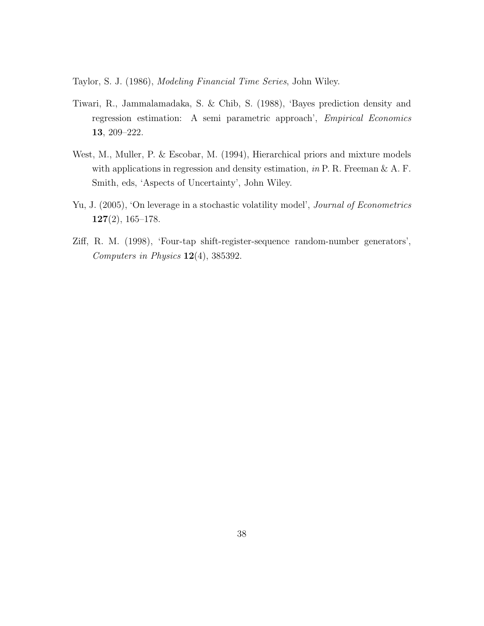Taylor, S. J. (1986), Modeling Financial Time Series, John Wiley.

- Tiwari, R., Jammalamadaka, S. & Chib, S. (1988), 'Bayes prediction density and regression estimation: A semi parametric approach', Empirical Economics 13, 209–222.
- West, M., Muller, P. & Escobar, M. (1994), Hierarchical priors and mixture models with applications in regression and density estimation, in P. R. Freeman  $\&$  A. F. Smith, eds, 'Aspects of Uncertainty', John Wiley.
- Yu, J. (2005), 'On leverage in a stochastic volatility model', *Journal of Econometrics* 127(2), 165–178.
- Ziff, R. M. (1998), 'Four-tap shift-register-sequence random-number generators', Computers in Physics 12(4), 385392.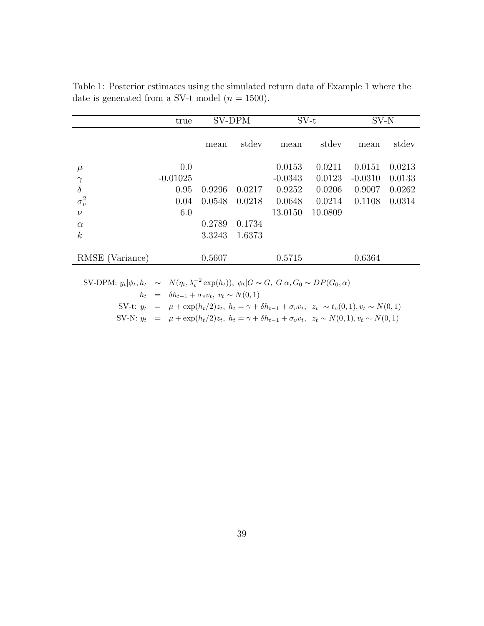| mean<br>0.9296<br>0.0548 | stdev<br>0.0217 | mean<br>0.0153<br>$-0.0343$<br>0.9252 | stdev<br>0.0211<br>0.0123<br>0.0206 | mean<br>0.0151<br>$-0.0310$<br>0.9007 | stdev<br>0.0213<br>0.0133<br>0.0262 |
|--------------------------|-----------------|---------------------------------------|-------------------------------------|---------------------------------------|-------------------------------------|
|                          |                 |                                       |                                     |                                       |                                     |
|                          |                 |                                       |                                     |                                       |                                     |
|                          |                 |                                       |                                     |                                       |                                     |
|                          |                 |                                       |                                     |                                       |                                     |
|                          | 0.0218          | 0.0648                                | 0.0214                              | 0.1108                                | 0.0314                              |
|                          |                 | 13.0150                               | 10.0809                             |                                       |                                     |
| 0.2789                   | 0.1734          |                                       |                                     |                                       |                                     |
| 3.3243                   | 1.6373          |                                       |                                     |                                       |                                     |
| 0.5607                   |                 | 0.5715                                |                                     | 0.6364                                |                                     |
|                          |                 |                                       |                                     |                                       |                                     |

Table 1: Posterior estimates using the simulated return data of Example 1 where the date is generated from a SV-t model  $(n = 1500)$ .

|  | SV-DPM: $y_t   \phi_t, h_t \sim N(\eta_t, \lambda_t^{-2} \exp(h_t)), \phi_t   G \sim G, G   \alpha, G_0 \sim DP(G_0, \alpha)$ |
|--|-------------------------------------------------------------------------------------------------------------------------------|
|  | $h_t = \delta h_{t-1} + \sigma_v v_t, \ v_t \sim N(0,1)$                                                                      |
|  | SV-t: $y_t = \mu + \exp(h_t/2)z_t$ , $h_t = \gamma + \delta h_{t-1} + \sigma_v v_t$ , $z_t \sim t_v(0,1), v_t \sim N(0,1)$    |
|  | SV-N: $y_t = \mu + \exp(h_t/2)z_t$ , $h_t = \gamma + \delta h_{t-1} + \sigma_v v_t$ , $z_t \sim N(0, 1)$ , $v_t \sim N(0, 1)$ |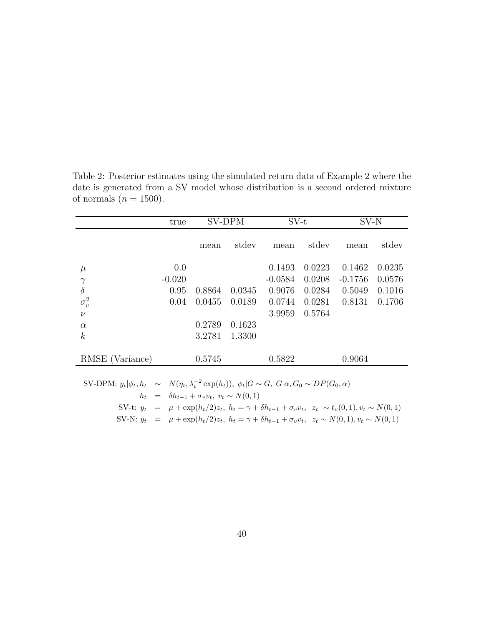|                                                                                                                               | true                                                                                                                            | SV-DPM |        | $SV-t$    |        | SV-N      |        |
|-------------------------------------------------------------------------------------------------------------------------------|---------------------------------------------------------------------------------------------------------------------------------|--------|--------|-----------|--------|-----------|--------|
|                                                                                                                               |                                                                                                                                 | mean   | stdev  | mean      | stdev  | mean      | stdev  |
| $\mu$                                                                                                                         | 0.0                                                                                                                             |        |        | 0.1493    | 0.0223 | 0.1462    | 0.0235 |
| $-0.020$<br>$\gamma$                                                                                                          |                                                                                                                                 |        |        | $-0.0584$ | 0.0208 | $-0.1756$ | 0.0576 |
| $\delta$                                                                                                                      | 0.95<br>0.8864                                                                                                                  |        | 0.0345 | 0.9076    | 0.0284 | 0.5049    | 0.1016 |
| $\sigma_v^2$                                                                                                                  | 0.04<br>0.0455                                                                                                                  |        | 0.0189 | 0.0744    | 0.0281 | 0.8131    | 0.1706 |
| $\nu$                                                                                                                         |                                                                                                                                 |        |        | 3.9959    | 0.5764 |           |        |
| $\alpha$                                                                                                                      | 0.2789                                                                                                                          |        | 0.1623 |           |        |           |        |
| $\boldsymbol{k}$                                                                                                              | 3.2781                                                                                                                          |        | 1.3300 |           |        |           |        |
| RMSE (Variance)                                                                                                               | 0.5745                                                                                                                          |        |        | 0.5822    |        | 0.9064    |        |
| SV-DPM: $y_t   \phi_t, h_t \sim N(\eta_t, \lambda_t^{-2} \exp(h_t)), \phi_t   G \sim G, G   \alpha, G_0 \sim DP(G_0, \alpha)$ |                                                                                                                                 |        |        |           |        |           |        |
| $h_t = \delta h_{t-1} + \sigma_v v_t, v_t \sim N(0, 1)$                                                                       |                                                                                                                                 |        |        |           |        |           |        |
|                                                                                                                               | SV-t: $y_t = \mu + \exp(h_t/2)z_t$ , $h_t = \gamma + \delta h_{t-1} + \sigma_v v_t$ , $z_t \sim t_\nu(0,1)$ , $v_t \sim N(0,1)$ |        |        |           |        |           |        |
| SV-N: $y_t = \mu + \exp(h_t/2)z_t$ , $h_t = \gamma + \delta h_{t-1} + \sigma_v v_t$ , $z_t \sim N(0, 1)$ , $v_t \sim N(0, 1)$ |                                                                                                                                 |        |        |           |        |           |        |

Table 2: Posterior estimates using the simulated return data of Example 2 where the date is generated from a SV model whose distribution is a second ordered mixture of normals  $(n = 1500)$ .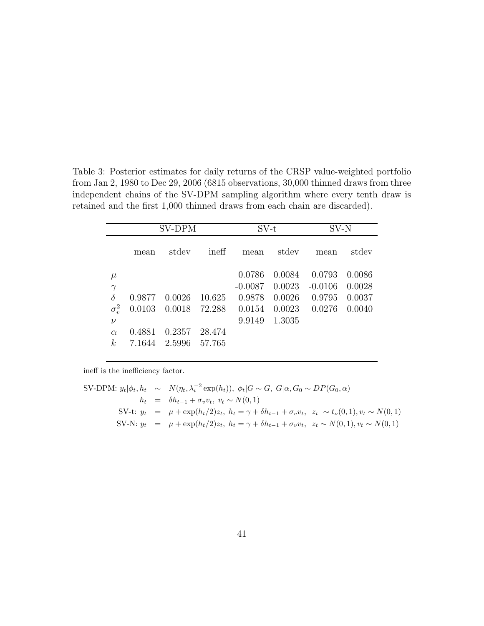Table 3: Posterior estimates for daily returns of the CRSP value-weighted portfolio from Jan 2, 1980 to Dec 29, 2006 (6815 observations, 30,000 thinned draws from three independent chains of the SV-DPM sampling algorithm where every tenth draw is retained and the first 1,000 thinned draws from each chain are discarded).

|                                                                                              |                                      | SV-DPM                               |                                      | $SV-t$                                            |                                                | SV-N                                    |                                      |
|----------------------------------------------------------------------------------------------|--------------------------------------|--------------------------------------|--------------------------------------|---------------------------------------------------|------------------------------------------------|-----------------------------------------|--------------------------------------|
|                                                                                              | mean                                 | stdev                                | ineff                                | mean                                              | stdev                                          | mean                                    | stdev                                |
| $\mu$<br>$\gamma$<br>$\dot{\delta}$<br>$\sigma_v^2$<br>$\nu$<br>$\alpha$<br>$\boldsymbol{k}$ | 0.9877<br>0.0103<br>0.4881<br>7.1644 | 0.0026<br>0.0018<br>0.2357<br>2.5996 | 10.625<br>72.288<br>28.474<br>57.765 | 0.0786<br>$-0.0087$<br>0.9878<br>0.0154<br>9.9149 | 0.0084<br>0.0023<br>0.0026<br>0.0023<br>1.3035 | 0.0793<br>$-0.0106$<br>0.9795<br>0.0276 | 0.0086<br>0.0028<br>0.0037<br>0.0040 |

ineff is the inefficiency factor.

SV-DPM: 
$$
y_t | \phi_t, h_t \sim N(\eta_t, \lambda_t^{-2} \exp(h_t)), \ \phi_t | G \sim G, \ G | \alpha, G_0 \sim DP(G_0, \alpha)
$$
  
\n
$$
h_t = \delta h_{t-1} + \sigma_v v_t, \ v_t \sim N(0, 1)
$$
\nSV-t:  $y_t = \mu + \exp(h_t/2)z_t, \ h_t = \gamma + \delta h_{t-1} + \sigma_v v_t, \ z_t \sim t_\nu(0, 1), v_t \sim N(0, 1)$   
\nSV-N:  $y_t = \mu + \exp(h_t/2)z_t, \ h_t = \gamma + \delta h_{t-1} + \sigma_v v_t, \ z_t \sim N(0, 1), v_t \sim N(0, 1)$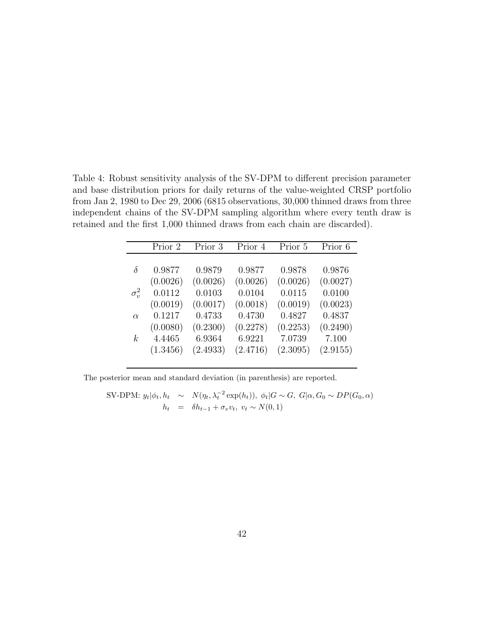Table 4: Robust sensitivity analysis of the SV-DPM to different precision parameter and base distribution priors for daily returns of the value-weighted CRSP portfolio from Jan 2, 1980 to Dec 29, 2006 (6815 observations, 30,000 thinned draws from three independent chains of the SV-DPM sampling algorithm where every tenth draw is retained and the first 1,000 thinned draws from each chain are discarded).

|              | Prior 2  | Prior 3  | Prior 4  | Prior 5  | Prior 6  |
|--------------|----------|----------|----------|----------|----------|
|              |          |          |          |          |          |
| $\delta$     | 0.9877   | 0.9879   | 0.9877   | 0.9878   | 0.9876   |
|              | (0.0026) | (0.0026) | (0.0026) | (0.0026) | (0.0027) |
| $\sigma_v^2$ | 0.0112   | 0.0103   | 0.0104   | 0.0115   | 0.0100   |
|              | (0.0019) | (0.0017) | (0.0018) | (0.0019) | (0.0023) |
| $\alpha$     | 0.1217   | 0.4733   | 0.4730   | 0.4827   | 0.4837   |
|              | (0.0080) | (0.2300) | (0.2278) | (0.2253) | (0.2490) |
| k            | 4.4465   | 6.9364   | 6.9221   | 7.0739   | 7.100    |
|              | (1.3456) | (2.4933) | (2.4716) | (2.3095) | (2.9155) |
|              |          |          |          |          |          |

The posterior mean and standard deviation (in parenthesis) are reported.

SV-DPM: 
$$
y_t | \phi_t, h_t \sim N(\eta_t, \lambda_t^{-2} \exp(h_t)), \ \phi_t | G \sim G, \ G | \alpha, G_0 \sim DP(G_0, \alpha)
$$
  
\n
$$
h_t = \delta h_{t-1} + \sigma_v v_t, \ v_t \sim N(0, 1)
$$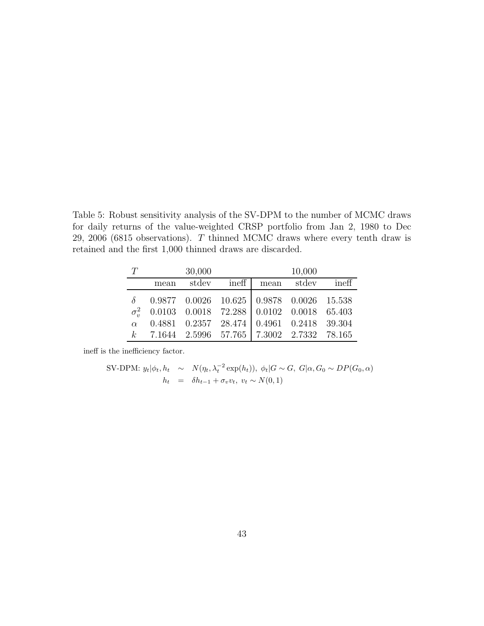Table 5: Robust sensitivity analysis of the SV-DPM to the number of MCMC draws for daily returns of the value-weighted CRSP portfolio from Jan 2, 1980 to Dec 29, 2006 (6815 observations). T thinned MCMC draws where every tenth draw is retained and the first 1,000 thinned draws are discarded.

|      | 30,000 |                                                                                                                                                                                                                     | 10,000 |  |
|------|--------|---------------------------------------------------------------------------------------------------------------------------------------------------------------------------------------------------------------------|--------|--|
| mean |        | stdev ineff mean stdev ineff                                                                                                                                                                                        |        |  |
|      |        | $\delta$ 0.9877 0.0026 10.625 0.9878 0.0026 15.538<br>$\sigma_v^2$ 0.0103 0.0018 72.288 0.0102 0.0018 65.403<br>$\alpha$ 0.4881 0.2357 28.474 0.4961 0.2418 39.304<br>$k$ 7.1644 2.5996 57.765 7.3002 2.7332 78.165 |        |  |

ineff is the inefficiency factor.

SV-DPM: 
$$
y_t | \phi_t, h_t \sim N(\eta_t, \lambda_t^{-2} \exp(h_t)), \ \phi_t | G \sim G, \ G | \alpha, G_0 \sim DP(G_0, \alpha)
$$
  

$$
h_t = \delta h_{t-1} + \sigma_v v_t, \ v_t \sim N(0, 1)
$$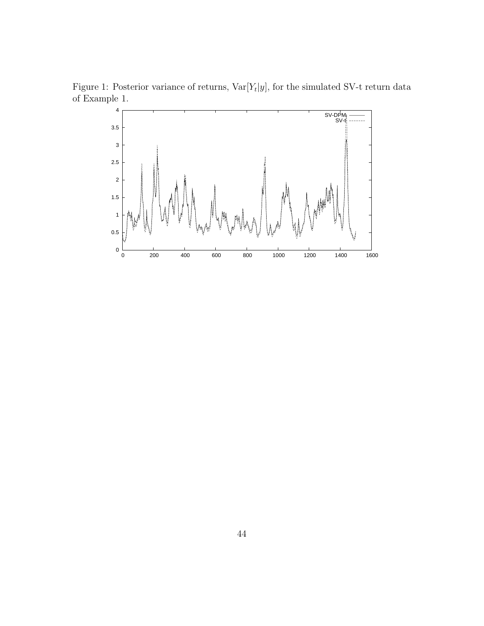Figure 1: Posterior variance of returns,  $Var[Y_t|y]$ , for the simulated SV-t return data of Example 1.

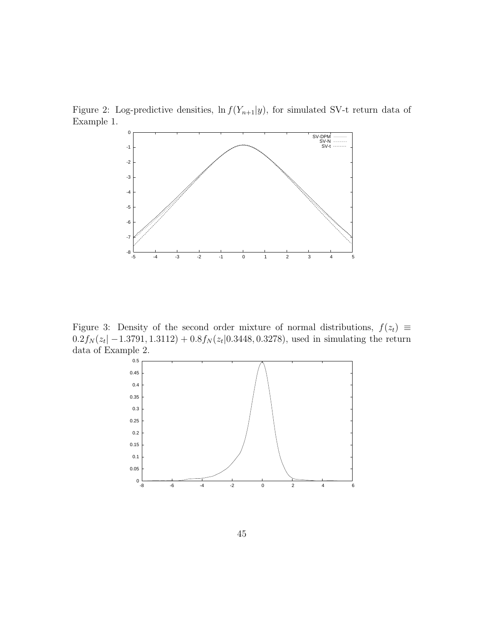Figure 2: Log-predictive densities,  $\ln f(Y_{n+1}|y)$ , for simulated SV-t return data of Example 1.



Figure 3: Density of the second order mixture of normal distributions,  $f(z_t) \equiv$  $0.2f_N(z_t|-1.3791, 1.3112) + 0.8f_N(z_t|0.3448, 0.3278)$ , used in simulating the return data of Example 2.

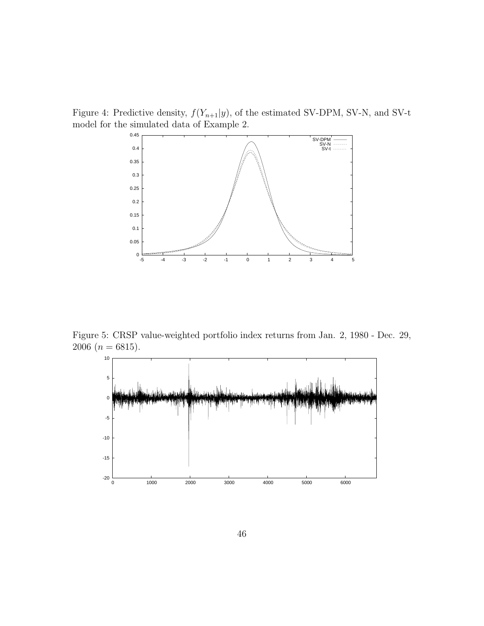Figure 4: Predictive density,  $f(Y_{n+1}|y)$ , of the estimated SV-DPM, SV-N, and SV-t model for the simulated data of Example 2.



Figure 5: CRSP value-weighted portfolio index returns from Jan. 2, 1980 - Dec. 29, 2006 ( $n = 6815$ ).

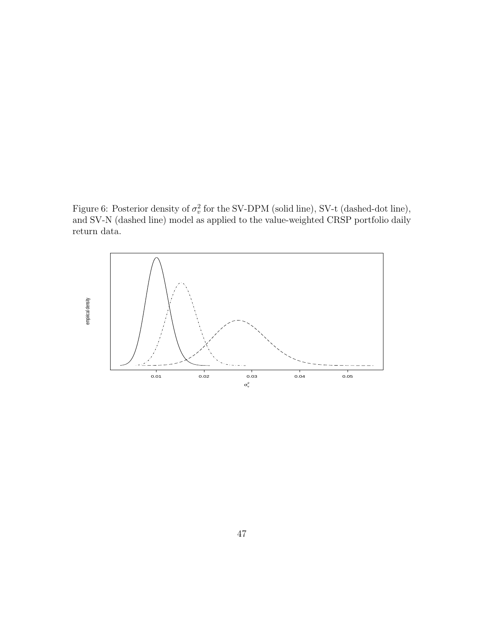Figure 6: Posterior density of  $\sigma_v^2$  for the SV-DPM (solid line), SV-t (dashed-dot line), and SV-N (dashed line) model as applied to the value-weighted CRSP portfolio daily return data.

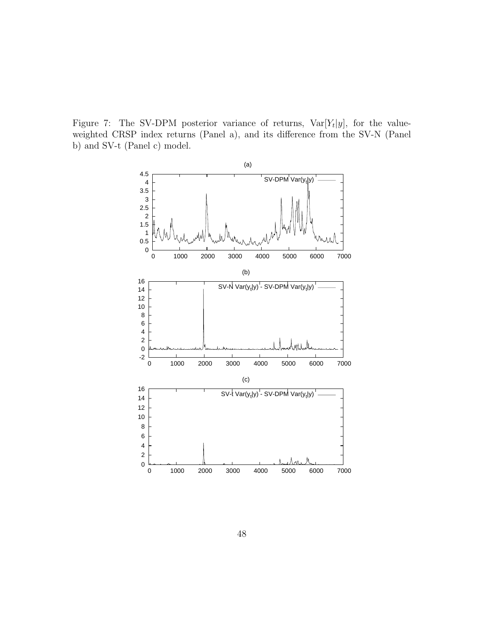Figure 7: The SV-DPM posterior variance of returns,  $Var[Y_t|y]$ , for the valueweighted CRSP index returns (Panel a), and its difference from the SV-N (Panel b) and SV-t (Panel c) model.